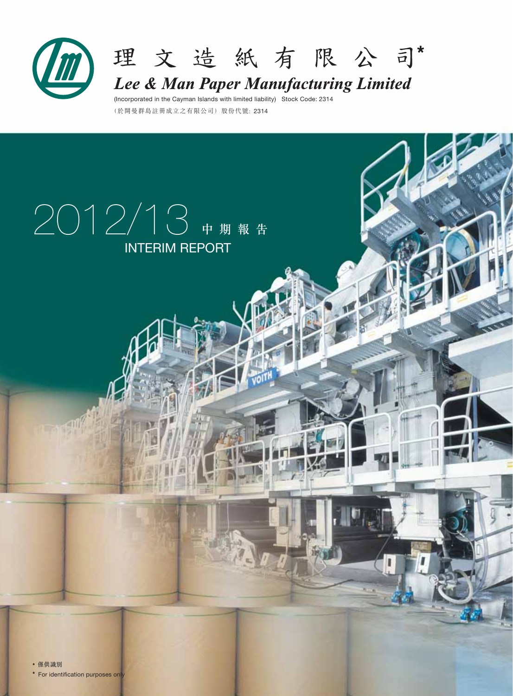



Lee & Man Paper Manufacturing Limited

(於開曼群島註冊成立之有限公司)股份代號: 2314 (Incorporated in the Cayman Islands with limited liability) Stock Code: 2314

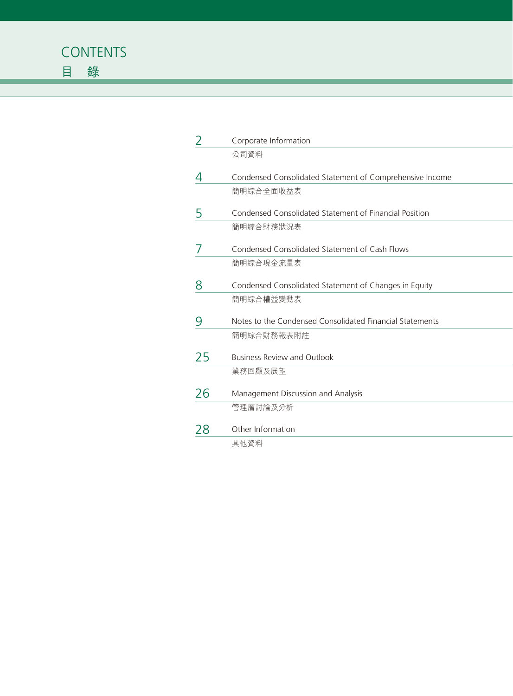

| 2  | Corporate Information                                    |
|----|----------------------------------------------------------|
|    | 公司資料                                                     |
|    | Condensed Consolidated Statement of Comprehensive Income |
|    | 簡明綜合全面收益表                                                |
| 5  | Condensed Consolidated Statement of Financial Position   |
|    | 簡明綜合財務狀況表                                                |
|    | Condensed Consolidated Statement of Cash Flows           |
|    | 簡明綜合現金流量表                                                |
| 8  | Condensed Consolidated Statement of Changes in Equity    |
|    | 簡明綜合權益變動表                                                |
| 9  | Notes to the Condensed Consolidated Financial Statements |
|    | 簡明綜合財務報表附註                                               |
| 25 | <b>Business Review and Outlook</b>                       |
|    | 業務回顧及展望                                                  |
| 26 | Management Discussion and Analysis                       |
|    | 管理層討論及分析                                                 |
| 28 | Other Information                                        |
|    | 其他資料                                                     |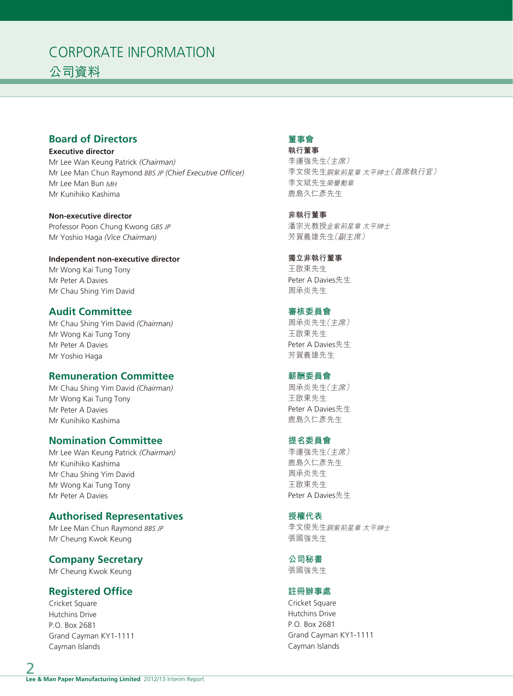# CORPORATE INFORMATION 公司資料

# **Board of Directors**

**Executive director** Mr Lee Wan Keung Patrick *(Chairman)* Mr Lee Man Chun Raymond *BBS JP (Chief Executive Officer)* Mr Lee Man Bun *MH* Mr Kunihiko Kashima

**Non-executive director** Professor Poon Chung Kwong *GBS JP* Mr Yoshio Haga *(Vice Chairman)*

**Independent non-executive director** Mr Wong Kai Tung Tony Mr Peter A Davies Mr Chau Shing Yim David

# **Audit Committee**

Mr Chau Shing Yim David *(Chairman)* Mr Wong Kai Tung Tony Mr Peter A Davies Mr Yoshio Haga

# **Remuneration Committee**

Mr Chau Shing Yim David *(Chairman)* Mr Wong Kai Tung Tony Mr Peter A Davies Mr Kunihiko Kashima

# **Nomination Committee**

Mr Lee Wan Keung Patrick *(Chairman)* Mr Kunihiko Kashima Mr Chau Shing Yim David Mr Wong Kai Tung Tony Mr Peter A Davies

# **Authorised Representatives**

Mr Lee Man Chun Raymond *BBS JP* Mr Cheung Kwok Keung

# **Company Secretary**

Mr Cheung Kwok Keung

# **Registered Office**

Cricket Square Hutchins Drive P.O. Box 2681 Grand Cayman KY1-1111 Cayman Islands

### **董事會**

**執行董事** 李運強先生(主席) 李文俊先生銅紫荊星章 太平紳士(首席執行官) 李文斌先生榮譽勳章 鹿島久仁彥先生

**非執行董事** 潘宗光教授金紫荊星章 太平紳士 芳賀義雄先生(副主席)

**獨立非執行董事** 王啟東先生 Peter A Davies先生 周承炎先生

#### **審核委員會** 周承炎先生(主席) 王啟東先生 Peter A Davies先生 芳賀義雄先生

## **薪酬委員會**

周承炎先生(主席) 王啟東先生 Peter A Davies先生 鹿島久仁彥先生

### **提名委員會**

李運強先生(主席) 鹿島久仁彥先生 周承炎先生 王啟東先生 Peter A Davies先生

### **授權代表**

李文俊先生銅紫荊星章 太平紳士 張國強先生

**公司秘書** 張國強先生

# **註冊辦事處**

Cricket Square Hutchins Drive P.O. Box 2681 Grand Cayman KY1-1111 Cayman Islands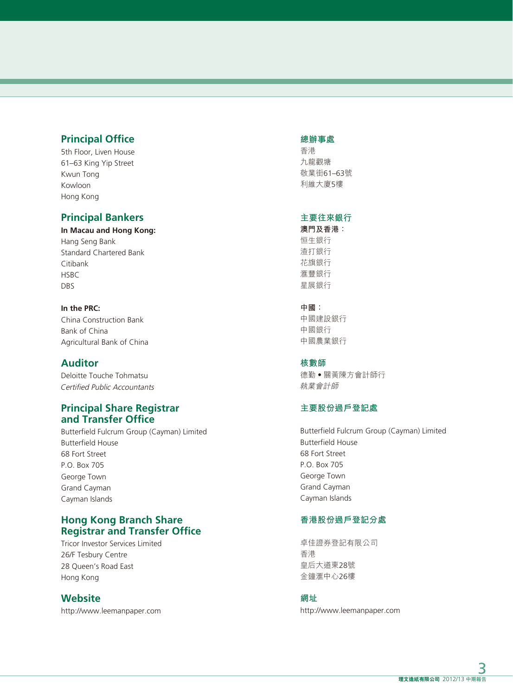# **Principal Office**

5th Floor, Liven House 61–63 King Yip Street Kwun Tong Kowloon Hong Kong

# **Principal Bankers**

**In Macau and Hong Kong:** Hang Seng Bank Standard Chartered Bank Citibank **HSBC** DBS

**In the PRC:** China Construction Bank Bank of China Agricultural Bank of China

## **Auditor**

Deloitte Touche Tohmatsu Certified Public Accountants

## **Principal Share Registrar and Transfer Office**

Butterfield Fulcrum Group (Cayman) Limited Butterfield House 68 Fort Street P.O. Box 705 George Town Grand Cayman Cayman Islands

# **Hong Kong Branch Share Registrar and Transfer Office**

Tricor Investor Services Limited 26/F Tesbury Centre 28 Queen's Road East Hong Kong

# **Website**

http://www.leemanpaper.com

#### **總辦事處**

香港 九龍觀塘 敬業街61–63號 利維大廈5樓

### **主要往來銀行**

**澳門及香港:** 恒生銀行 渣打銀行 花旗銀行 滙豐銀行 星展銀行

#### **中國:**

中國建設銀行 中國銀行 中國農業銀行

#### **核數師**

德勤‧關黃陳方會計師行 執業會計師

### **主要股份過戶登記處**

Butterfield Fulcrum Group (Cayman) Limited Butterfield House 68 Fort Street P.O. Box 705 George Town Grand Cayman Cayman Islands

### **香港股份過戶登記分處**

卓佳證券登記有限公司 香港 皇后大道東28號 金鐘滙中心26樓

### **網址**

http://www.leemanpaper.com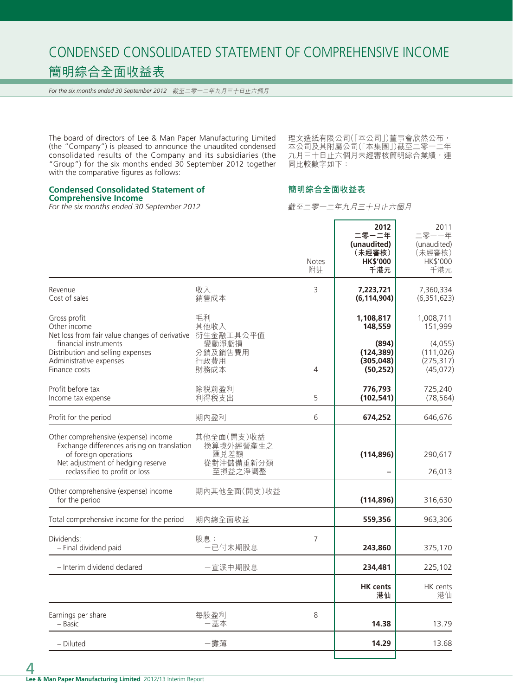# CONDENSED CONSOLIDATED STATEMENT OF COMPREHENSIVE INCOME 簡明綜合全面收益表

*For the six months ended 30 September 2012* 截至二零一二年九月三十日止六個月

The board of directors of Lee & Man Paper Manufacturing Limited (the "Company") is pleased to announce the unaudited condensed consolidated results of the Company and its subsidiaries (the "Group") for the six months ended 30 September 2012 together with the comparative figures as follows:

理文造紙有限公司( | 本公司 | ) 董事會欣然公布, 本公司及其附屬公司(「本集團」)截至二零一二年 九月三十日止六個月未經審核簡明綜合業績,連 同比較數字如下:

÷

# **Condensed Consolidated Statement of**

**Comprehensive Income**

*For the six months ended 30 September 2012*

截至二零一二年九月三十日止六個月

r.

**簡明綜合全面收益表**

|                                                                                                                                                                                                    |                                                         | <b>Notes</b><br>附註 | 2012<br>二零一二年<br>(unaudited)<br>(未經審核)<br><b>HK\$'000</b><br>千港元       | 2011<br>二零一一年<br>(unaudited)<br>(未經審核)<br>HK\$'000<br>千港元               |
|----------------------------------------------------------------------------------------------------------------------------------------------------------------------------------------------------|---------------------------------------------------------|--------------------|------------------------------------------------------------------------|-------------------------------------------------------------------------|
| Revenue<br>Cost of sales                                                                                                                                                                           | 收入<br>銷售成本                                              | 3                  | 7,223,721<br>(6, 114, 904)                                             | 7,360,334<br>(6, 351, 623)                                              |
| Gross profit<br>Other income<br>Net loss from fair value changes of derivative 衍生金融工具公平值<br>financial instruments<br>Distribution and selling expenses<br>Administrative expenses<br>Finance costs | 手利<br>其他收入<br>變動淨虧損<br>分銷及銷售費用<br>行政費用<br>財務成本          | 4                  | 1,108,817<br>148,559<br>(894)<br>(124, 389)<br>(305, 048)<br>(50, 252) | 1,008,711<br>151,999<br>(4,055)<br>(111, 026)<br>(275, 317)<br>(45,072) |
| Profit before tax<br>Income tax expense                                                                                                                                                            | 除税前盈利<br>利得税支出                                          | 5                  | 776,793<br>(102, 541)                                                  | 725,240<br>(78, 564)                                                    |
| Profit for the period                                                                                                                                                                              | 期內盈利                                                    | 6                  | 674,252                                                                | 646,676                                                                 |
| Other comprehensive (expense) income<br>Exchange differences arising on translation<br>of foreign operations<br>Net adjustment of hedging reserve<br>reclassified to profit or loss                | 其他全面(開支)收益<br>換算境外經營產生之<br>匯兑差額<br>從對沖儲備重新分類<br>至損益之淨調整 |                    | (114, 896)                                                             | 290,617<br>26,013                                                       |
| Other comprehensive (expense) income<br>for the period                                                                                                                                             | 期內其他全面(開支)收益                                            |                    | (114, 896)                                                             | 316,630                                                                 |
| Total comprehensive income for the period                                                                                                                                                          | 期內總全面收益                                                 |                    | 559,356                                                                | 963,306                                                                 |
| Dividends:<br>- Final dividend paid                                                                                                                                                                | 股息:<br>一已付末期股息                                          | 7                  | 243,860                                                                | 375,170                                                                 |
| - Interim dividend declared                                                                                                                                                                        | 一宣派中期股息                                                 |                    | 234,481                                                                | 225,102                                                                 |
|                                                                                                                                                                                                    |                                                         |                    | <b>HK</b> cents<br>港仙                                                  | HK cents<br>港仙                                                          |
| Earnings per share<br>– Basic                                                                                                                                                                      | 每股盈利<br>一基本                                             | 8                  | 14.38                                                                  | 13.79                                                                   |
| - Diluted                                                                                                                                                                                          | -攤薄                                                     |                    | 14.29                                                                  | 13.68                                                                   |
|                                                                                                                                                                                                    |                                                         |                    |                                                                        |                                                                         |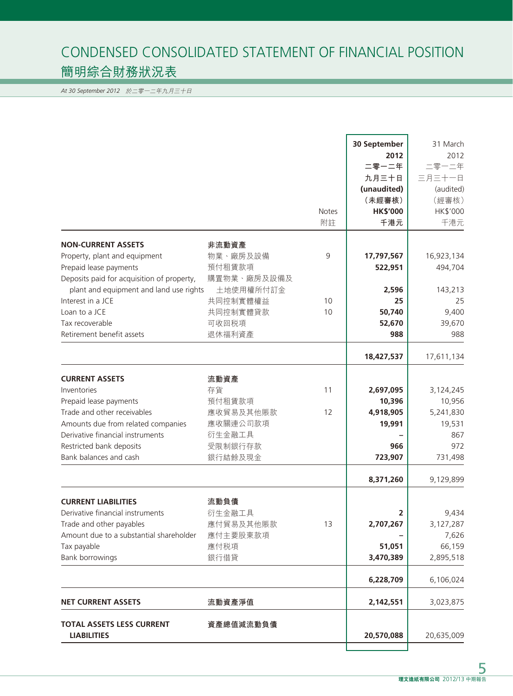# CONDENSED CONSOLIDATED STATEMENT OF FINANCIAL POSITION 簡明綜合財務狀況表

*At 30 September 2012* 於二零一二年九月三十日

|                                                                                                                                                                                                                               |                                                                               | <b>Notes</b><br>附註 | 30 September<br>2012<br>二零一二年<br>九月三十日<br>(unaudited)<br>(未經審核)<br><b>HK\$'000</b><br>千港元 | 31 March<br>2012<br>二零一二年<br>三月三十一日<br>(audited)<br>(經審核)<br>HK\$'000<br>千港元 |
|-------------------------------------------------------------------------------------------------------------------------------------------------------------------------------------------------------------------------------|-------------------------------------------------------------------------------|--------------------|-------------------------------------------------------------------------------------------|------------------------------------------------------------------------------|
| <b>NON-CURRENT ASSETS</b><br>Property, plant and equipment<br>Prepaid lease payments<br>Deposits paid for acquisition of property,<br>plant and equipment and land use rights<br>Interest in a JCE                            | 非流動資產<br>物業、廠房及設備<br>預付租賃款項<br>購置物業、廠房及設備及<br>土地使用權所付訂金<br>共同控制實體權益           | 9<br>10            | 17,797,567<br>522,951<br>2,596<br>25                                                      | 16,923,134<br>494,704<br>143,213<br>25                                       |
| Loan to a JCE<br>Tax recoverable<br>Retirement benefit assets                                                                                                                                                                 | 共同控制實體貸款<br>可收回税項<br>退休福利資產                                                   | 10                 | 50,740<br>52,670<br>988                                                                   | 9,400<br>39,670<br>988                                                       |
|                                                                                                                                                                                                                               |                                                                               |                    | 18,427,537                                                                                | 17,611,134                                                                   |
| <b>CURRENT ASSETS</b><br>Inventories<br>Prepaid lease payments<br>Trade and other receivables<br>Amounts due from related companies<br>Derivative financial instruments<br>Restricted bank deposits<br>Bank balances and cash | 流動資產<br>存貨<br>預付租賃款項<br>應收貿易及其他賬款<br>應收關連公司款項<br>衍生金融工具<br>受限制銀行存款<br>銀行結餘及現金 | 11<br>12           | 2,697,095<br>10,396<br>4,918,905<br>19,991<br>966<br>723,907                              | 3,124,245<br>10,956<br>5,241,830<br>19,531<br>867<br>972<br>731,498          |
| <b>CURRENT LIABILITIES</b><br>Derivative financial instruments<br>Trade and other payables<br>Amount due to a substantial shareholder<br>Tax payable<br><b>Bank borrowings</b>                                                | 流動負債<br>衍生金融工具<br>應付貿易及其他賬款<br>應付主要股東款項<br>應付税項<br>銀行借貸                       | 13                 | 8,371,260<br>2<br>2,707,267<br>51,051<br>3,470,389                                        | 9,129,899<br>9,434<br>3,127,287<br>7,626<br>66,159<br>2,895,518              |
|                                                                                                                                                                                                                               |                                                                               |                    | 6,228,709                                                                                 | 6,106,024                                                                    |
| <b>NET CURRENT ASSETS</b>                                                                                                                                                                                                     | 流動資產淨值                                                                        |                    | 2,142,551                                                                                 | 3,023,875                                                                    |
| <b>TOTAL ASSETS LESS CURRENT</b><br><b>LIABILITIES</b>                                                                                                                                                                        | 資產總值減流動負債                                                                     |                    | 20,570,088                                                                                | 20,635,009                                                                   |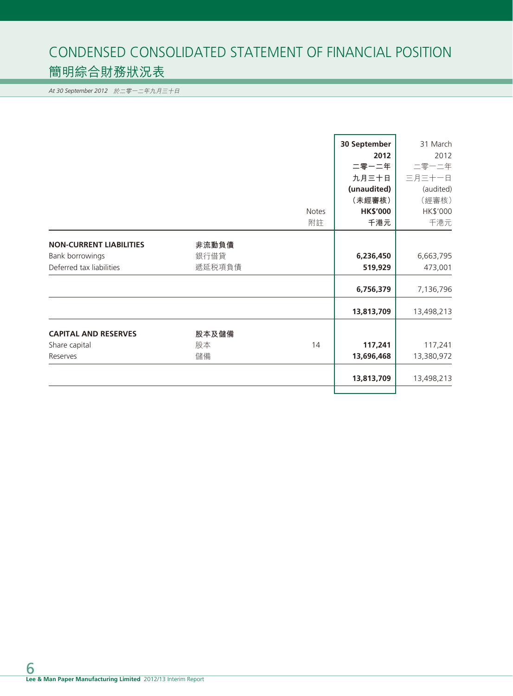# CONDENSED CONSOLIDATED STATEMENT OF FINANCIAL POSITION 簡明綜合財務狀況表

*At 30 September 2012* 於二零一二年九月三十日

|                                |        |              | 30 September    | 31 March   |
|--------------------------------|--------|--------------|-----------------|------------|
|                                |        |              | 2012            | 2012       |
|                                |        |              | 二零一二年           | 二零一二年      |
|                                |        |              | 九月三十日           | 三月三十一日     |
|                                |        |              | (unaudited)     | (audited)  |
|                                |        |              | (未經審核)          | (經審核)      |
|                                |        | <b>Notes</b> | <b>HK\$'000</b> | HK\$'000   |
|                                |        | 附註           | 千港元             | 千港元        |
|                                |        |              |                 |            |
| <b>NON-CURRENT LIABILITIES</b> | 非流動負債  |              |                 |            |
| Bank borrowings                | 銀行借貸   |              | 6,236,450       | 6,663,795  |
| Deferred tax liabilities       | 遞延税項負債 |              | 519,929         | 473,001    |
|                                |        |              | 6,756,379       | 7,136,796  |
|                                |        |              |                 |            |
|                                |        |              | 13,813,709      | 13,498,213 |
| <b>CAPITAL AND RESERVES</b>    | 股本及儲備  |              |                 |            |
| Share capital                  | 股本     | 14           | 117,241         | 117,241    |
|                                |        |              |                 |            |
| Reserves                       | 儲備     |              | 13,696,468      | 13,380,972 |
|                                |        |              | 13,813,709      | 13,498,213 |
|                                |        |              |                 |            |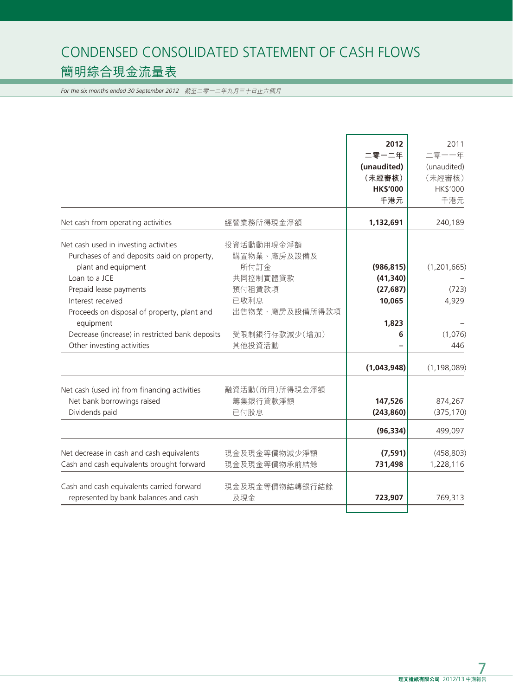# CONDENSED CONSOLIDATED STATEMENT OF CASH FLOWS 簡明綜合現金流量表

*For the six months ended 30 September 2012* 截至二零一二年九月三十日止六個月

|                                                                                    |                       | 2012            | 2011          |
|------------------------------------------------------------------------------------|-----------------------|-----------------|---------------|
|                                                                                    |                       | 二零一二年           | 二零一一年         |
|                                                                                    |                       | (unaudited)     | (unaudited)   |
|                                                                                    |                       | (未經審核)          | (未經審核)        |
|                                                                                    |                       | <b>HK\$'000</b> | HK\$'000      |
|                                                                                    |                       | 千港元             | 千港元           |
| Net cash from operating activities                                                 | 經營業務所得現金淨額            | 1,132,691       | 240,189       |
| Net cash used in investing activities                                              | 投資活動動用現金淨額            |                 |               |
| Purchases of and deposits paid on property,                                        | 購置物業、廠房及設備及           |                 |               |
| plant and equipment                                                                | 所付訂金                  | (986, 815)      | (1, 201, 665) |
| Loan to a JCE                                                                      | 共同控制實體貸款              | (41, 340)       |               |
| Prepaid lease payments                                                             | 預付租賃款項                | (27, 687)       | (723)         |
| Interest received                                                                  | 已收利息                  | 10,065          | 4,929         |
| Proceeds on disposal of property, plant and                                        | 出售物業、廠房及設備所得款項        |                 |               |
| equipment                                                                          |                       | 1,823           |               |
| Decrease (increase) in restricted bank deposits                                    | 受限制銀行存款減少(增加)         | 6               | (1,076)       |
| Other investing activities                                                         | 其他投資活動                |                 | 446           |
|                                                                                    |                       | (1,043,948)     | (1, 198, 089) |
| Net cash (used in) from financing activities                                       | 融資活動(所用)所得現金淨額        |                 |               |
| Net bank borrowings raised                                                         | 籌集銀行貸款淨額              | 147,526         | 874,267       |
| Dividends paid                                                                     | 已付股息                  | (243, 860)      | (375, 170)    |
|                                                                                    |                       | (96, 334)       | 499,097       |
| Net decrease in cash and cash equivalents                                          | 現金及現金等價物減少淨額          | (7, 591)        | (458, 803)    |
| Cash and cash equivalents brought forward                                          | 現金及現金等價物承前結餘          | 731,498         | 1,228,116     |
|                                                                                    |                       |                 |               |
| Cash and cash equivalents carried forward<br>represented by bank balances and cash | 現金及現金等價物結轉銀行結餘<br>及現金 | 723,907         | 769,313       |
|                                                                                    |                       |                 |               |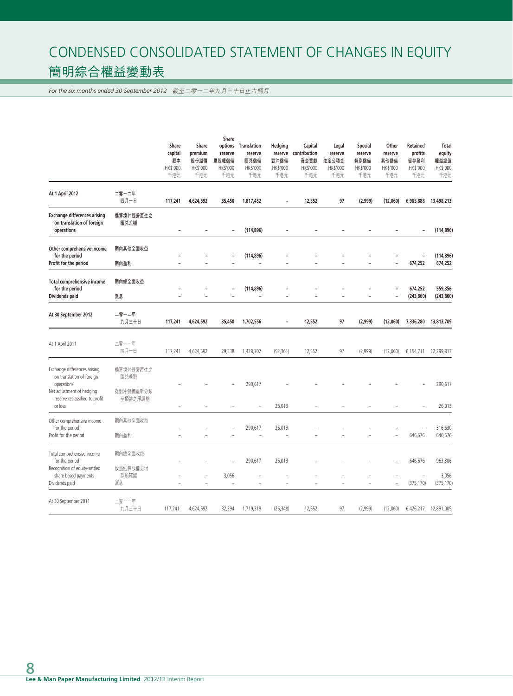# CONDENSED CONSOLIDATED STATEMENT OF CHANGES IN EQUITY 簡明綜合權益變動表

*For the six months ended 30 September 2012* 截至二零一二年九月三十日止六個月

|                                                                                                                                                   |                                           | Share<br>capital<br>股本<br>HK\$'000<br>千港元 | Share<br>premium<br>股份溢價<br>HK\$'000<br>千港元 | Share<br>reserve<br>購股權儲備<br>HK\$'000<br>千港元 | options Translation<br>reserve<br>匯兑儲備<br>HK\$'000<br>千港元 | Hedging<br>對沖儲備<br>HK\$'000<br>千港元 | Capital<br>reserve contribution<br>資金貢獻<br>HK\$'000<br>千港元 | Legal<br>reserve<br>法定公積金<br>HK\$'000<br>千港元 | Special<br>reserve<br>特別儲備<br>HK\$'000<br>千港元 | Other<br>reserve<br>其他儲備<br>HK\$'000<br>千港元 | <b>Retained</b><br>profits<br>留存盈利<br>HK\$'000<br>千港元 | <b>Total</b><br>equity<br>權益總值<br>HK\$'000<br>千港元 |
|---------------------------------------------------------------------------------------------------------------------------------------------------|-------------------------------------------|-------------------------------------------|---------------------------------------------|----------------------------------------------|-----------------------------------------------------------|------------------------------------|------------------------------------------------------------|----------------------------------------------|-----------------------------------------------|---------------------------------------------|-------------------------------------------------------|---------------------------------------------------|
| At 1 April 2012                                                                                                                                   | 二零一二年<br>四月一日                             | 117,241                                   | 4,624,592                                   | 35,450                                       | 1,817,452                                                 | $\overline{\phantom{0}}$           | 12,552                                                     | 97                                           | (2,999)                                       | (12,060)                                    | 6,905,888                                             | 13,498,213                                        |
| <b>Exchange differences arising</b><br>on translation of foreign<br>operations                                                                    | 換算境外經營產生之<br>匯兑差額                         | $\overline{\phantom{a}}$                  |                                             |                                              | (114, 896)                                                |                                    |                                                            |                                              |                                               |                                             | ۰                                                     | (114, 896)                                        |
| Other comprehensive income<br>for the period<br>Profit for the period                                                                             | 期內其他全面收益<br>期內盈利                          |                                           |                                             |                                              | (114, 896)<br>$\overline{a}$                              |                                    |                                                            |                                              |                                               | $\overline{a}$                              | L,<br>674,252                                         | (114, 896)<br>674,252                             |
| Total comprehensive income<br>for the period<br>Dividends paid                                                                                    | 期內總全面收益<br>派息                             | $\overline{\phantom{a}}$                  | ۰                                           |                                              | (114, 896)<br>$\overline{a}$                              | $\overline{a}$                     |                                                            | ۰                                            |                                               | $\overline{\phantom{a}}$                    | 674,252<br>(243, 860)                                 | 559,356<br>(243, 860)                             |
| At 30 September 2012                                                                                                                              | 二零一二年<br>九月三十日                            | 117,241                                   | 4,624,592                                   | 35,450                                       | 1,702,556                                                 | -                                  | 12,552                                                     | 97                                           | (2,999)                                       | (12,060)                                    | 7,336,280                                             | 13,813,709                                        |
| At 1 April 2011                                                                                                                                   | 二零一一年<br>四月一日                             | 117,241                                   | 4,624,592                                   | 29,338                                       | 1,428,702                                                 | (52, 361)                          | 12,552                                                     | 97                                           | (2,999)                                       | (12,060)                                    | 6,154,711                                             | 12,299,813                                        |
| Exchange differences arising<br>on translation of foreign<br>operations<br>Net adjustment of hedging<br>reserve reclassified to profit<br>or loss | 換算境外經營產生之<br>匯兑差額<br>從對冲儲備重新分類<br>至損益之淨調整 |                                           |                                             |                                              | 290,617                                                   | 26,013                             |                                                            |                                              |                                               |                                             |                                                       | 290,617<br>26,013                                 |
| Other comprehensive income<br>for the period<br>Profit for the period                                                                             | 期內其他全面收益<br>期內盈利                          |                                           |                                             |                                              | 290,617                                                   | 26,013                             |                                                            |                                              |                                               | L.<br>L,                                    | $\overline{a}$<br>646,676                             | 316,630<br>646,676                                |
| Total comprehensive income<br>for the period<br>Recognition of equity-settled<br>share based payments<br>Dividends paid                           | 期內總全面收益<br>股益結算股權支付<br>款項確認<br>派息         | L.                                        | $\overline{a}$                              | 3,056<br>i,                                  | 290,617<br>$\overline{a}$                                 | 26,013<br>$\overline{a}$           | Ē.                                                         | ÷                                            | L,                                            | L,                                          | 646,676<br>$\overline{a}$<br>(375, 170)               | 963,306<br>3,056<br>(375, 170)                    |
| At 30 September 2011                                                                                                                              | 二零一一年<br>九月三十日                            | 117,241                                   | 4,624,592                                   | 32,394                                       | 1,719,319                                                 | (26, 348)                          | 12,552                                                     | 97                                           | (2,999)                                       | (12,060)                                    | 6,426,217                                             | 12,891,005                                        |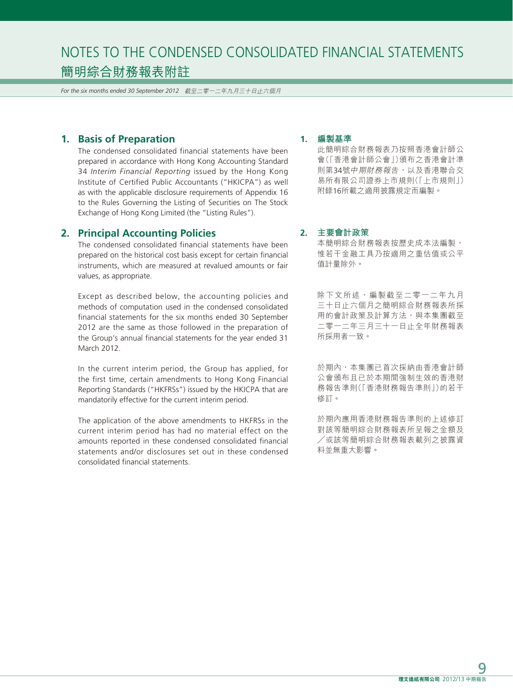*For the six months ended 30 September 2012* 截至二零一二年九月三十日止六個月

#### **1. Basis of Preparation**

The condensed consolidated financial statements have been prepared in accordance with Hong Kong Accounting Standard 34 *Interim Financial Reporting* issued by the Hong Kong Institute of Certified Public Accountants ("HKICPA") as well as with the applicable disclosure requirements of Appendix 16 to the Rules Governing the Listing of Securities on The Stock Exchange of Hong Kong Limited (the "Listing Rules").

### **2. Principal Accounting Policies**

The condensed consolidated financial statements have been prepared on the historical cost basis except for certain financial instruments, which are measured at revalued amounts or fair values, as appropriate.

Except as described below, the accounting policies and methods of computation used in the condensed consolidated financial statements for the six months ended 30 September 2012 are the same as those followed in the preparation of the Group's annual financial statements for the year ended 31 March 2012.

In the current interim period, the Group has applied, for the first time, certain amendments to Hong Kong Financial Reporting Standards ("HKFRSs") issued by the HKICPA that are mandatorily effective for the current interim period.

The application of the above amendments to HKFRSs in the current interim period has had no material effect on the amounts reported in these condensed consolidated financial statements and/or disclosures set out in these condensed consolidated financial statements.

#### **1. 編製基準**

此簡明綜合財務報表乃按照香港會計師公 會(「香港會計師公會」)頒布之香港會計準 則第34號中期財務報告,以及香港聯合交 易所有限公司證券上市規則(「上市規則」) 附錄16所載之適用披露規定而編製。

#### **2. 主要會計政策**

本簡明綜合財務報表按歷史成本法編製, 惟若干金融工具乃按適用之重估值或公平 值計量除外。

除下文所述,編製截至二零一二年九月 三十日止六個月之簡明綜合財務報表所採 用的會計政策及計算方法,與本集團截至 二零一二年三月三十一日止全年財務報表 所採用者一致。

於期內,本集團已首次採納由香港會計師 公會頒布且已於本期間強制生效的香港財 務報告準則(「香港財務報告準則」)的若干 修訂。

於期內應用香港財務報告準則的上述修訂 對該等簡明綜合財務報表所呈報之金額及 ╱或該等簡明綜合財務報表載列之披露資 料並無重大影響。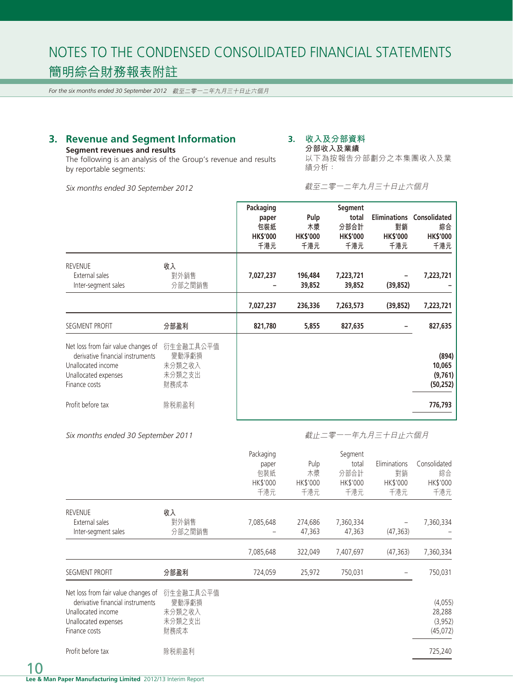*For the six months ended 30 September 2012* 截至二零一二年九月三十日止六個月

# **3. Revenue and Segment Information**

#### **Segment revenues and results**

The following is an analysis of the Group's revenue and results by reportable segments:

*Six months ended 30 September 2012*

# **3. 收入及分部資料**

**分部收入及業績** 以下為按報告分部劃分之本集團收入及業 績分析:

截至二零一二年九月三十日止六個月

|                                                                                                                                        |                                                | Packaging<br>paper<br>包裝紙<br><b>HK\$'000</b><br>千港元 | Pulp<br>木漿<br><b>HK\$'000</b><br>千港元 | Segment<br>total<br>分部合計<br><b>HK\$'000</b><br>千港元 | <b>Eliminations</b><br>對銷<br><b>HK\$'000</b><br>千港元 | Consolidated<br>綜合<br><b>HK\$'000</b><br>千港元 |
|----------------------------------------------------------------------------------------------------------------------------------------|------------------------------------------------|-----------------------------------------------------|--------------------------------------|----------------------------------------------------|-----------------------------------------------------|----------------------------------------------|
| <b>REVENUE</b><br>External sales<br>Inter-segment sales                                                                                | 收入<br>對外銷售<br>分部之間銷售                           | 7,027,237                                           | 196,484<br>39,852                    | 7,223,721<br>39,852                                | (39, 852)                                           | 7,223,721                                    |
|                                                                                                                                        |                                                | 7,027,237                                           | 236,336                              | 7,263,573                                          | (39, 852)                                           | 7,223,721                                    |
| SEGMENT PROFIT                                                                                                                         | 分部盈利                                           | 821,780                                             | 5,855                                | 827,635                                            |                                                     | 827,635                                      |
| Net loss from fair value changes of<br>derivative financial instruments<br>Unallocated income<br>Unallocated expenses<br>Finance costs | 衍生金融工具公平值<br>變動淨虧損<br>未分類之收入<br>未分類之支出<br>財務成本 |                                                     |                                      |                                                    |                                                     | (894)<br>10,065<br>(9,761)<br>(50, 252)      |
| Profit before tax                                                                                                                      | 除税前盈利                                          |                                                     |                                      |                                                    |                                                     | 776,793                                      |

#### *Six months ended 30 September 2011*

#### 截止二零一一年九月三十日止六個月

|                                                                                                                                        |                                                | Packaging<br>paper<br>包装紙<br><b>HK\$'000</b><br>千港元 | Pulp<br>木漿<br>HK\$'000<br>千港元 | Segment<br>total<br>分部合計<br>HK\$'000<br>千港元 | Eliminations<br>對銷<br>HK\$'000<br>千港元 | Consolidated<br>綜合<br>HK\$'000<br>千港元    |
|----------------------------------------------------------------------------------------------------------------------------------------|------------------------------------------------|-----------------------------------------------------|-------------------------------|---------------------------------------------|---------------------------------------|------------------------------------------|
| <b>REVENUE</b><br>External sales<br>Inter-segment sales                                                                                | 收入<br>對外銷售<br>分部之間銷售                           | 7,085,648                                           | 274,686<br>47,363             | 7,360,334<br>47,363                         | (47, 363)                             | 7,360,334                                |
|                                                                                                                                        |                                                | 7,085,648                                           | 322,049                       | 7,407,697                                   | (47, 363)                             | 7,360,334                                |
| <b>SEGMENT PROFIT</b>                                                                                                                  | 分部盈利                                           | 724,059                                             | 25,972                        | 750,031                                     |                                       | 750,031                                  |
| Net loss from fair value changes of<br>derivative financial instruments<br>Unallocated income<br>Unallocated expenses<br>Finance costs | 衍生金融工具公平值<br>變動淨虧損<br>未分類之收入<br>未分類之支出<br>財務成本 |                                                     |                               |                                             |                                       | (4,055)<br>28,288<br>(3,952)<br>(45,072) |
| Profit before tax                                                                                                                      | 除税前盈利                                          |                                                     |                               |                                             |                                       | 725,240                                  |

10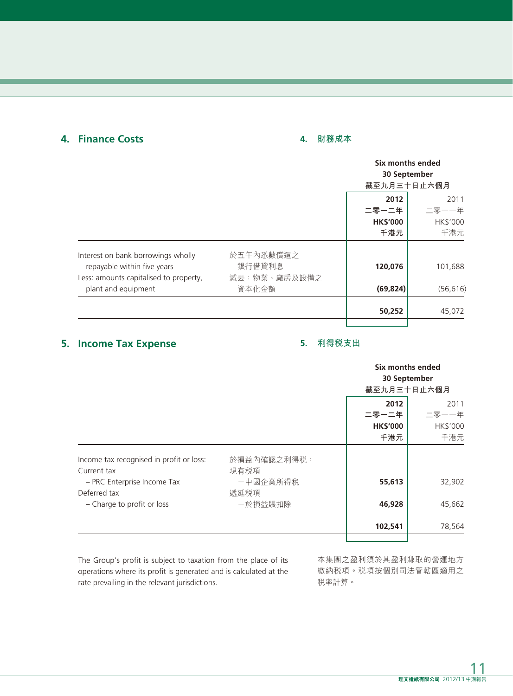# **4. Finance Costs**

# **4. 財務成本**

|                                                                                                                                                    | Six months ended<br>截至九月三十日止六個月 | 30 September    |
|----------------------------------------------------------------------------------------------------------------------------------------------------|---------------------------------|-----------------|
|                                                                                                                                                    | 2012<br>二零一二年                   | 2011<br>二零一一年   |
|                                                                                                                                                    | <b>HK\$'000</b><br>千港元          | HK\$'000<br>千港元 |
| Interest on bank borrowings wholly<br>於五年內悉數償還之<br>repayable within five years<br>銀行借貸利息<br>減去:物業、廠房及設備之<br>Less: amounts capitalised to property, | 120,076                         | 101,688         |
| plant and equipment<br>資本化金額                                                                                                                       | (69, 824)                       | (56, 616)       |
|                                                                                                                                                    | 50,252                          | 45,072          |

# **5. Income Tax Expense**

## **5. 利得稅支出**

|                                                         |                     | Six months ended<br>30 September |                 |  |
|---------------------------------------------------------|---------------------|----------------------------------|-----------------|--|
|                                                         |                     | 截至九月三十日止六個月                      |                 |  |
|                                                         |                     | 2012<br>二零一二年                    | 2011<br>二零一一年   |  |
|                                                         |                     | <b>HK\$'000</b><br>千港元           | HK\$'000<br>千港元 |  |
| Income tax recognised in profit or loss:<br>Current tax | 於損益內確認之利得税:<br>現有税項 |                                  |                 |  |
| - PRC Enterprise Income Tax<br>Deferred tax             | 一中國企業所得税<br>遞延税項    | 55,613                           | 32,902          |  |
| - Charge to profit or loss                              | 一於損益賬扣除             | 46,928                           | 45,662          |  |
|                                                         |                     | 102,541                          | 78,564          |  |
|                                                         |                     |                                  |                 |  |

The Group's profit is subject to taxation from the place of its operations where its profit is generated and is calculated at the rate prevailing in the relevant jurisdictions.

本集團之盈利須於其盈利賺取的營運地方 繳納稅項。稅項按個別司法管轄區適用之 稅率計算。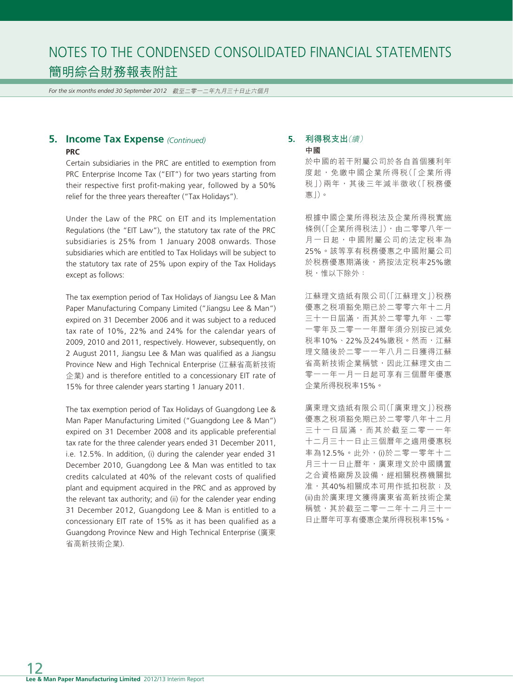*For the six months ended 30 September 2012* 截至二零一二年九月三十日止六個月

### **5. Income Tax Expense** *(Continued)* **PRC**

Certain subsidiaries in the PRC are entitled to exemption from PRC Enterprise Income Tax ("EIT") for two years starting from their respective first profit-making year, followed by a 50% relief for the three years thereafter ("Tax Holidays").

Under the Law of the PRC on EIT and its Implementation Regulations (the "EIT Law"), the statutory tax rate of the PRC subsidiaries is 25% from 1 January 2008 onwards. Those subsidiaries which are entitled to Tax Holidays will be subject to the statutory tax rate of 25% upon expiry of the Tax Holidays except as follows:

The tax exemption period of Tax Holidays of Jiangsu Lee & Man Paper Manufacturing Company Limited ("Jiangsu Lee & Man") expired on 31 December 2006 and it was subject to a reduced tax rate of 10%, 22% and 24% for the calendar years of 2009, 2010 and 2011, respectively. However, subsequently, on 2 August 2011, Jiangsu Lee & Man was qualified as a Jiangsu Province New and High Technical Enterprise (江蘇省高新技術 企業) and is therefore entitled to a concessionary EIT rate of 15% for three calender years starting 1 January 2011.

The tax exemption period of Tax Holidays of Guangdong Lee & Man Paper Manufacturing Limited ("Guangdong Lee & Man") expired on 31 December 2008 and its applicable preferential tax rate for the three calender years ended 31 December 2011, i.e. 12.5%. In addition, (i) during the calender year ended 31 December 2010, Guangdong Lee & Man was entitled to tax credits calculated at 40% of the relevant costs of qualified plant and equipment acquired in the PRC and as approved by the relevant tax authority; and (ii) for the calender year ending 31 December 2012, Guangdong Lee & Man is entitled to a concessionary EIT rate of 15% as it has been qualified as a Guangdong Province New and High Technical Enterprise (廣東 省高新技術企業).

#### **5. 利得稅支出**(續) **中國**

於中國的若干附屬公司於各自首個獲利年 度起,免繳中國企業所得税(「企業所得 稅」)兩年,其後三年減半徵收(「稅務優 惠」)。

根據中國企業所得稅法及企業所得稅實施 條例(「企業所得税法」),由二零零八年一 月一日起,中國附屬公司的法定税率為 25%。該等享有稅務優惠之中國附屬公司 於税務優惠期滿後,將按法定税率25%繳 税,惟以下除外:

江蘇理文造紙有限公司(「江蘇理文」)稅務 優惠之税項豁免期已於二零零六年十二月 三十一日屆滿,而其於二零零九年、二零 一零年及二零一一年曆年須分別按已減免 稅率10%、22%及24%繳稅。然而,江蘇 理文隨後於二零一一年八月二日獲得江蘇 省高新技術企業稱號,因此江蘇理文由二 零一一年一月一日起可享有三個曆年優惠 企業所得稅稅率15%。

廣東理文造紙有限公司(「廣東理文」)稅務 優惠之稅項豁免期已於二零零八年十二月 三十一日屆滿,而其於截至二零一一年 十二月三十一日止三個曆年之適用優惠稅 率為12.5%。此外,(i)於二零一零年十二 月三十一日止曆年,廣東理文於中國購置 之合資格廠房及設備,經相關税務機關批 准,其40%相關成本可用作抵扣税款;及 (ii)由於廣東理文獲得廣東省高新技術企業 稱號,其於截至二零一二年十二月三十一 日止曆年可享有優惠企業所得稅稅率15%。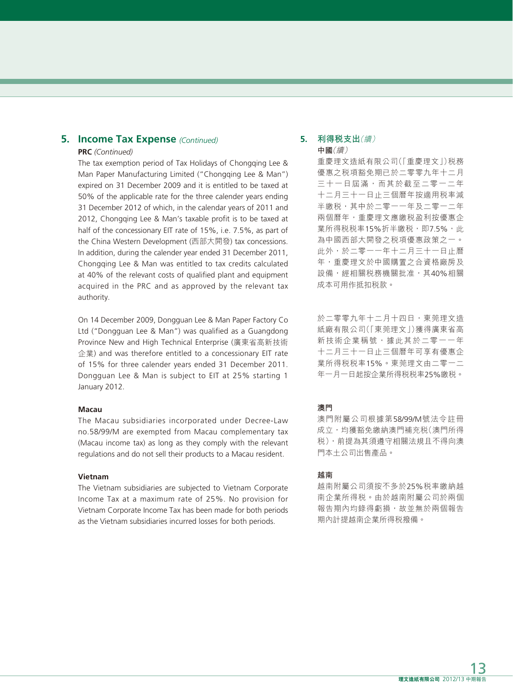# **5. Income Tax Expense** *(Continued)*

#### **PRC** *(Continued)*

The tax exemption period of Tax Holidays of Chongqing Lee & Man Paper Manufacturing Limited ("Chongqing Lee & Man") expired on 31 December 2009 and it is entitled to be taxed at 50% of the applicable rate for the three calender years ending 31 December 2012 of which, in the calendar years of 2011 and 2012, Chongqing Lee & Man's taxable profit is to be taxed at half of the concessionary EIT rate of 15%, i.e. 7.5%, as part of the China Western Development (西部大開發) tax concessions. In addition, during the calender year ended 31 December 2011, Chongqing Lee & Man was entitled to tax credits calculated at 40% of the relevant costs of qualified plant and equipment acquired in the PRC and as approved by the relevant tax authority.

On 14 December 2009, Dongguan Lee & Man Paper Factory Co Ltd ("Dongguan Lee & Man") was qualified as a Guangdong Province New and High Technical Enterprise (廣東省高新技術 企業) and was therefore entitled to a concessionary EIT rate of 15% for three calender years ended 31 December 2011. Dongguan Lee & Man is subject to EIT at 25% starting 1 January 2012.

#### **Macau**

The Macau subsidiaries incorporated under Decree-Law no.58/99/M are exempted from Macau complementary tax (Macau income tax) as long as they comply with the relevant regulations and do not sell their products to a Macau resident.

#### **Vietnam**

The Vietnam subsidiaries are subjected to Vietnam Corporate Income Tax at a maximum rate of 25%. No provision for Vietnam Corporate Income Tax has been made for both periods as the Vietnam subsidiaries incurred losses for both periods.

#### **5. 利得稅支出**(續) **中國**(續)

重慶理文造紙有限公司(「重慶理文」)稅務 優惠之税項豁免期已於二零零九年十二月 三十一日屆滿,而其於截至二零一二年 十二月三十一日止三個曆年按適用稅率減 半繳税,其中於二零一一年及二零一二年 兩個曆年,重慶理文應繳稅盈利按優惠企 業所得税税率15%折半繳税,即7.5%,此 為中國西部大開發之稅項優惠政策之一。 此外,於二零一一年十二月三十一日止曆 年,重慶理文於中國購置之合資格廠房及 設備,經相關税務機關批准,其40%相關 成本可用作抵扣稅款。

於二零零九年十二月十四日,東莞理文造 紙廠有限公司(「東莞理文」)獲得廣東省高 新技術企業稱號,據此其於二零一一年 十二月三十一日止三個曆年可享有優惠企 業所得稅稅率15%。東莞理文由二零一二 年一月一日起按企業所得稅稅率25%繳稅。

#### **澳門**

澳門附屬公司根據第58/99/M號法令註冊 成立,均獲豁免繳納澳門補充税(澳門所得 稅),前提為其須遵守相關法規且不得向澳 門本土公司出售產品。

#### **越南**

越南附屬公司須按不多於25%稅率繳納越 南企業所得稅。由於越南附屬公司於兩個 報告期內均錄得虧損,故並無於兩個報告 期內計提越南企業所得稅撥備。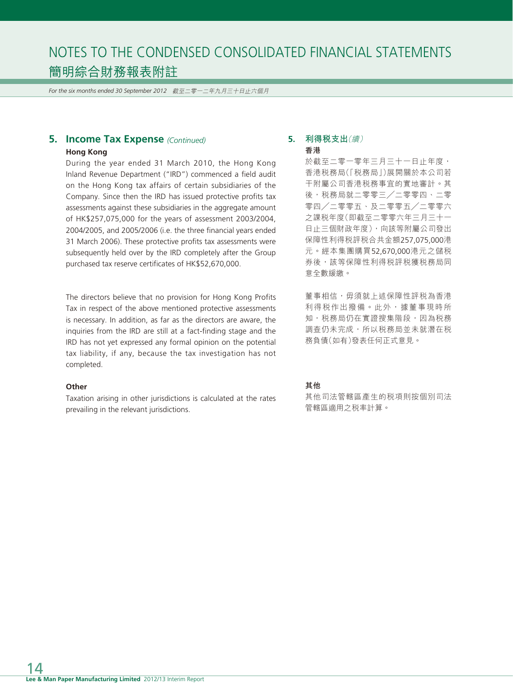*For the six months ended 30 September 2012* 截至二零一二年九月三十日止六個月

# **5. Income Tax Expense** *(Continued)*

#### **Hong Kong**

During the year ended 31 March 2010, the Hong Kong Inland Revenue Department ("IRD") commenced a field audit on the Hong Kong tax affairs of certain subsidiaries of the Company. Since then the IRD has issued protective profits tax assessments against these subsidiaries in the aggregate amount of HK\$257,075,000 for the years of assessment 2003/2004, 2004/2005, and 2005/2006 (i.e. the three financial years ended 31 March 2006). These protective profits tax assessments were subsequently held over by the IRD completely after the Group purchased tax reserve certificates of HK\$52,670,000.

The directors believe that no provision for Hong Kong Profits Tax in respect of the above mentioned protective assessments is necessary. In addition, as far as the directors are aware, the inquiries from the IRD are still at a fact-finding stage and the IRD has not yet expressed any formal opinion on the potential tax liability, if any, because the tax investigation has not completed.

#### **Other**

Taxation arising in other jurisdictions is calculated at the rates prevailing in the relevant jurisdictions.

#### **5. 利得稅支出**(續) **香港**

於截至二零一零年三月三十一日止年度, 香港稅務局(「稅務局」)展開關於本公司若 干附屬公司香港稅務事宜的實地審計。其 後,税務局就二零零三/二零零四、二零 零四╱二零零五、及二零零五╱二零零六 之課稅年度(即截至二零零六年三月三十一 日止三個財政年度),向該等附屬公司發出 保障性利得稅評稅合共金額257,075,000港 元。經本集團購買52,670,000港元之儲稅 券後,該等保障性利得税評税獲税務局同 意全數緩繳。

董事相信,毋須就上述保障性評税為香港 利得税作出撥備。此外,據董事現時所 知, 税務局仍在實證搜集階段, 因為税務 調查仍未完成,所以税務局並未就潛在税 務負債(如有)發表任何正式意見。

#### **其他**

其他司法管轄區產生的稅項則按個別司法 管轄區適用之稅率計算。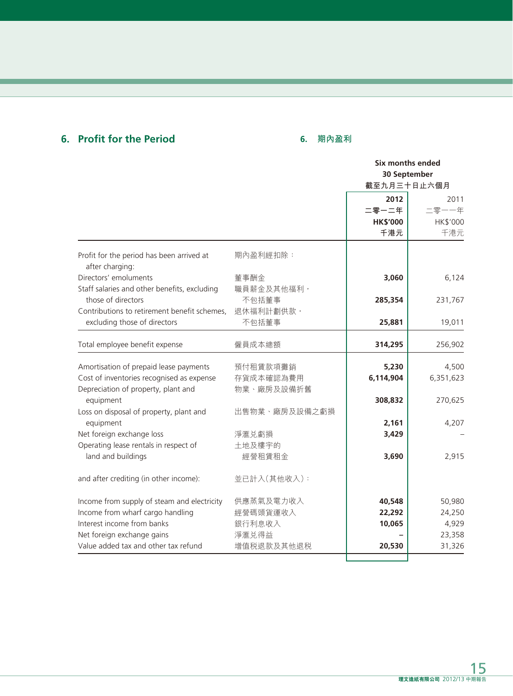# **6. Profit for the Period**

# **6. 期內盈利**

|                                                              |               |                 | Six months ended |
|--------------------------------------------------------------|---------------|-----------------|------------------|
|                                                              |               |                 | 30 September     |
|                                                              |               | 截至九月三十日止六個月     |                  |
|                                                              |               | 2012            | 2011             |
|                                                              |               | 二零一二年           | 二零一一年            |
|                                                              |               | <b>HK\$'000</b> | HK\$'000         |
|                                                              |               | 千港元             | 千港元              |
| Profit for the period has been arrived at<br>after charging: | 期內盈利經扣除:      |                 |                  |
| Directors' emoluments                                        | 董事酬金          | 3,060           | 6,124            |
| Staff salaries and other benefits, excluding                 | 職員薪金及其他福利,    |                 |                  |
| those of directors                                           | 不包括董事         | 285,354         | 231,767          |
| Contributions to retirement benefit schemes,                 | 退休福利計劃供款,     |                 |                  |
| excluding those of directors                                 | 不包括董事         | 25,881          | 19,011           |
| Total employee benefit expense                               | 僱員成本總額        | 314,295         | 256,902          |
|                                                              |               |                 |                  |
| Amortisation of prepaid lease payments                       | 預付租賃款項攤銷      | 5,230           | 4,500            |
| Cost of inventories recognised as expense                    | 存貨成本確認為費用     | 6,114,904       | 6,351,623        |
| Depreciation of property, plant and                          | 物業、廠房及設備折舊    |                 |                  |
| equipment                                                    |               | 308,832         | 270,625          |
| Loss on disposal of property, plant and                      | 出售物業、廠房及設備之虧損 |                 |                  |
| equipment                                                    |               | 2,161           | 4,207            |
| Net foreign exchange loss                                    | 淨滙兑虧損         | 3,429           |                  |
| Operating lease rentals in respect of                        | 土地及樓宇的        |                 |                  |
| land and buildings                                           | 經營租賃租金        | 3,690           | 2,915            |
| and after crediting (in other income):                       | 並已計入(其他收入):   |                 |                  |
| Income from supply of steam and electricity                  | 供應蒸氣及電力收入     | 40,548          | 50,980           |
| Income from wharf cargo handling                             | 經營碼頭貨運收入      | 22,292          | 24,250           |
| Interest income from banks                                   | 銀行利息收入        | 10,065          | 4,929            |
| Net foreign exchange gains                                   | 淨滙兑得益         |                 | 23,358           |
| Value added tax and other tax refund                         | 增值税退款及其他退税    | 20,530          | 31,326           |
|                                                              |               |                 |                  |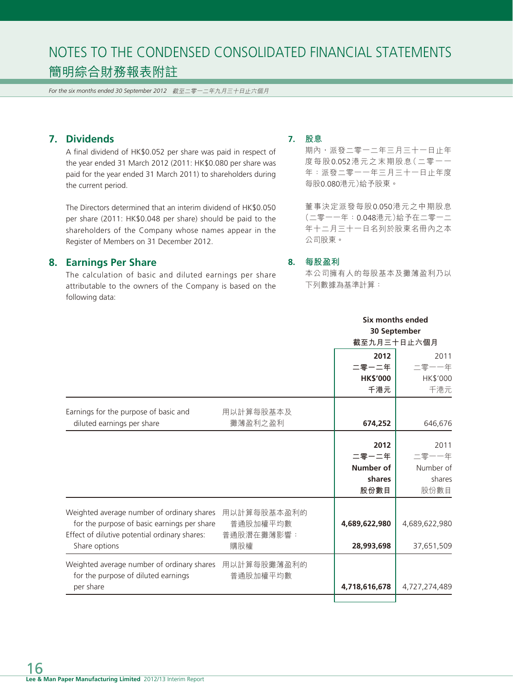*For the six months ended 30 September 2012* 截至二零一二年九月三十日止六個月

# **7. Dividends**

A final dividend of HK\$0.052 per share was paid in respect of the year ended 31 March 2012 (2011: HK\$0.080 per share was paid for the year ended 31 March 2011) to shareholders during the current period.

The Directors determined that an interim dividend of HK\$0.050 per share (2011: HK\$0.048 per share) should be paid to the shareholders of the Company whose names appear in the Register of Members on 31 December 2012.

#### **8. Earnings Per Share**

The calculation of basic and diluted earnings per share attributable to the owners of the Company is based on the following data:

#### **7. 股息**

期內,派發二零一二年三月三十一日止年 度每股0.052港元之末期股息(二零一一 年:派發二零一一年三月三十一日止年度 每股0.080港元)給予股東。

董事決定派發每股0.050港元之中期股息 (二零一一年:0.048港元)給予在二零一二 年十二月三十一日名列於股東名冊內之本 公司股東。

#### **8. 每股盈利**

本公司擁有人的每股基本及攤薄盈利乃以 下列數據為基準計算:

|                                                        |             |                 | Six months ended<br>30 September |
|--------------------------------------------------------|-------------|-----------------|----------------------------------|
|                                                        |             |                 | 截至九月三十日止六個月                      |
|                                                        |             | 2012            | 2011                             |
|                                                        |             | 二零一二年           | 二零一一年                            |
|                                                        |             | <b>HK\$'000</b> | HK\$'000                         |
|                                                        |             | 千港元             | 千港元                              |
| Earnings for the purpose of basic and                  | 用以計算每股基本及   |                 |                                  |
| diluted earnings per share                             | 攤薄盈利之盈利     | 674,252         | 646,676                          |
|                                                        |             | 2012            | 2011                             |
|                                                        |             | 二零一二年           | 二零一一年                            |
|                                                        |             | Number of       | Number of                        |
|                                                        |             | shares          | shares                           |
|                                                        |             | 股份數目            | 股份數目                             |
| Weighted average number of ordinary shares             | 用以計算每股基本盈利的 |                 |                                  |
| for the purpose of basic earnings per share            | 普通股加權平均數    | 4,689,622,980   | 4,689,622,980                    |
| Effect of dilutive potential ordinary shares:          | 普通股潛在攤薄影響:  |                 |                                  |
| Share options                                          | 購股權         | 28,993,698      | 37,651,509                       |
| Weighted average number of ordinary shares 用以計算每股攤薄盈利的 |             |                 |                                  |
| for the purpose of diluted earnings                    | 普通股加權平均數    |                 |                                  |
| per share                                              |             | 4,718,616,678   | 4,727,274,489                    |
|                                                        |             |                 |                                  |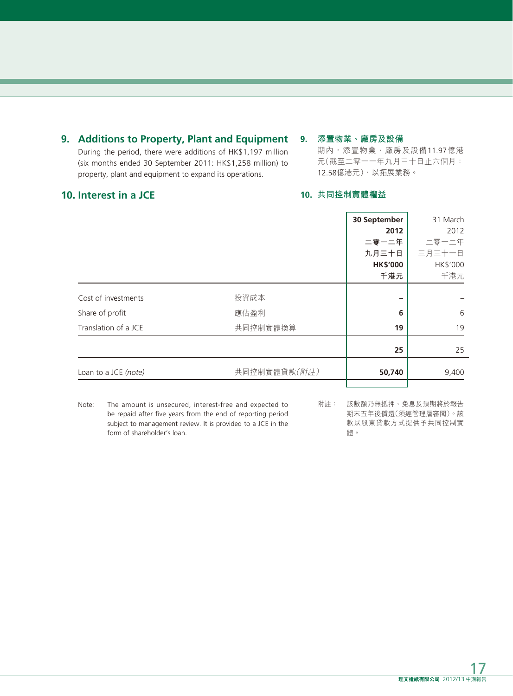# **9. Additions to Property, Plant and Equipment**

During the period, there were additions of HK\$1,197 million (six months ended 30 September 2011: HK\$1,258 million) to property, plant and equipment to expand its operations.

### **9. 添置物業、廠房及設備**

期內,添置物業、廠房及設備11.97億港 元(截至二零一一年九月三十日止六個月: 12.58億港元),以拓展業務。

## **10. Interest in a JCE**

### **10. 共同控制實體權益**

|                      |              | 30 September    | 31 March |
|----------------------|--------------|-----------------|----------|
|                      |              | 2012            | 2012     |
|                      |              | 二零一二年           | 二零一二年    |
|                      |              | 九月三十日           | 三月三十一日   |
|                      |              | <b>HK\$'000</b> | HK\$'000 |
|                      |              | 千港元             | 千港元      |
|                      |              |                 |          |
| Cost of investments  | 投資成本         |                 |          |
| Share of profit      | 應佔盈利         | 6               | 6        |
| Translation of a JCE | 共同控制實體換算     | 19              | 19       |
|                      |              |                 |          |
|                      |              | 25              | 25       |
| Loan to a JCE (note) | 共同控制實體貸款(附註) | 50,740          | 9,400    |
|                      |              |                 |          |

Note: The amount is unsecured, interest-free and expected to be repaid after five years from the end of reporting period subject to management review. It is provided to a JCE in the form of shareholder's loan.

附註: 該數額乃無抵押、免息及預期將於報告 期末五年後償還(須經管理層審閱)。該 款以股東貸款方式提供予共同控制實 體。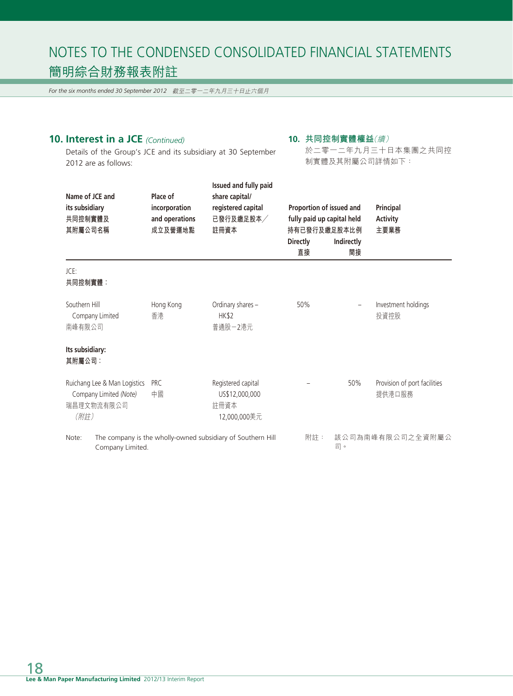*For the six months ended 30 September 2012* 截至二零一二年九月三十日止六個月

# **10. Interest in a JCE** *(Continued)*

#### **10. 共同控制實體權益**(續)

Details of the Group's JCE and its subsidiary at 30 September 2012 are as follows:

於二零一二年九月三十日本集團之共同控 制實體及其附屬公司詳情如下:

| Name of JCE and<br>its subsidiary<br>共同控制實體及<br>其附屬公司名稱                      | Place of<br>incorporation<br>and operations<br>成立及營運地點 | Issued and fully paid<br>share capital/<br>registered capital<br>已發行及繳足股本/<br>註冊資本 | Proportion of issued and<br>fully paid up capital held<br>持有已發行及繳足股本比例<br><b>Directly</b><br>直接 | Indirectly<br>間接 | Principal<br><b>Activity</b><br>主要業務   |
|------------------------------------------------------------------------------|--------------------------------------------------------|------------------------------------------------------------------------------------|-------------------------------------------------------------------------------------------------|------------------|----------------------------------------|
| JCE:<br>共同控制實體:                                                              |                                                        |                                                                                    |                                                                                                 |                  |                                        |
| Southern Hill<br>Company Limited<br>南峰有限公司                                   | Hong Kong<br>香港                                        | Ordinary shares -<br><b>HK\$2</b><br>普通股-2港元                                       | 50%                                                                                             |                  | Investment holdings<br>投資控股            |
| Its subsidiary:<br>其附屬公司:                                                    |                                                        |                                                                                    |                                                                                                 |                  |                                        |
| Ruichang Lee & Man Logistics<br>Company Limited (Note)<br>瑞昌理文物流有限公司<br>(附註) | <b>PRC</b><br>中國                                       | Registered capital<br>US\$12,000,000<br>許冊資本<br>12,000,000美元                       |                                                                                                 | 50%              | Provision of port facilities<br>提供港口服務 |
| Note:<br>Company Limited.                                                    |                                                        | The company is the wholly-owned subsidiary of Southern Hill                        | 附註:                                                                                             | 司。               | 該公司為南峰有限公司之全資附屬公                       |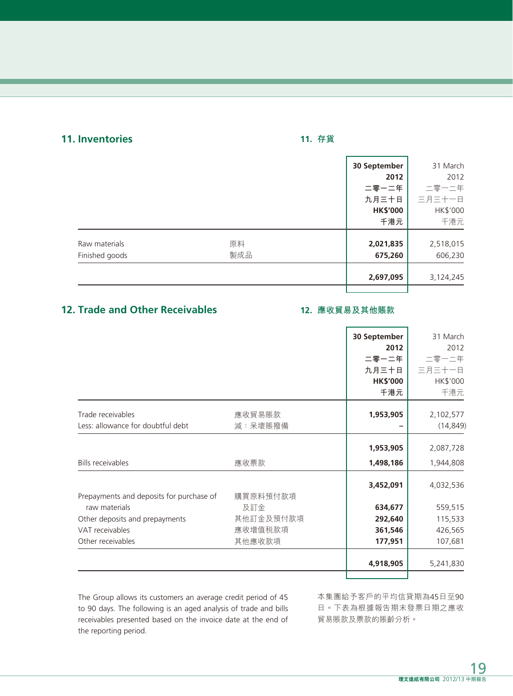# **11. Inventories**

# **11. 存貨**

|                |     | 30 September    | 31 March  |
|----------------|-----|-----------------|-----------|
|                |     | 2012            | 2012      |
|                |     | 二零一二年           | 二零一二年     |
|                |     | 九月三十日           | 三月三十一日    |
|                |     | <b>HK\$'000</b> | HK\$'000  |
|                |     | 千港元             | 千港元       |
| Raw materials  | 原料  | 2,021,835       | 2,518,015 |
| Finished goods | 製成品 | 675,260         | 606,230   |
|                |     | 2,697,095       | 3,124,245 |
|                |     |                 |           |

# **12. Trade and Other Receivables**

### **12. 應收貿易及其他賬款**

|                                          |           | 30 September    | 31 March  |
|------------------------------------------|-----------|-----------------|-----------|
|                                          |           | 2012            | 2012      |
|                                          |           | 二零一二年           | 二零一二年     |
|                                          |           | 九月三十日           | 三月三十一日    |
|                                          |           | <b>HK\$'000</b> | HK\$'000  |
|                                          |           | 千港元             | 千港元       |
| Trade receivables                        | 應收貿易賬款    | 1,953,905       | 2,102,577 |
|                                          |           |                 |           |
| Less: allowance for doubtful debt        | 減:呆壞賬撥備   |                 | (14, 849) |
|                                          |           | 1,953,905       | 2,087,728 |
| <b>Bills receivables</b>                 | 應收票款      | 1,498,186       | 1,944,808 |
|                                          |           | 3,452,091       | 4,032,536 |
| Prepayments and deposits for purchase of | 購買原料預付款項  |                 |           |
| raw materials                            | 及訂金       | 634,677         | 559,515   |
| Other deposits and prepayments           | 其他訂金及預付款項 | 292,640         | 115,533   |
| VAT receivables                          | 應收增值税款項   | 361,546         | 426,565   |
| Other receivables                        | 其他應收款項    | 177,951         | 107,681   |
|                                          |           | 4,918,905       | 5,241,830 |
|                                          |           |                 |           |

The Group allows its customers an average credit period of 45 to 90 days. The following is an aged analysis of trade and bills receivables presented based on the invoice date at the end of the reporting period.

本集團給予客戶的平均信貸期為45日至90 日。下表為根據報告期末發票日期之應收 貿易賬款及票款的賬齡分析。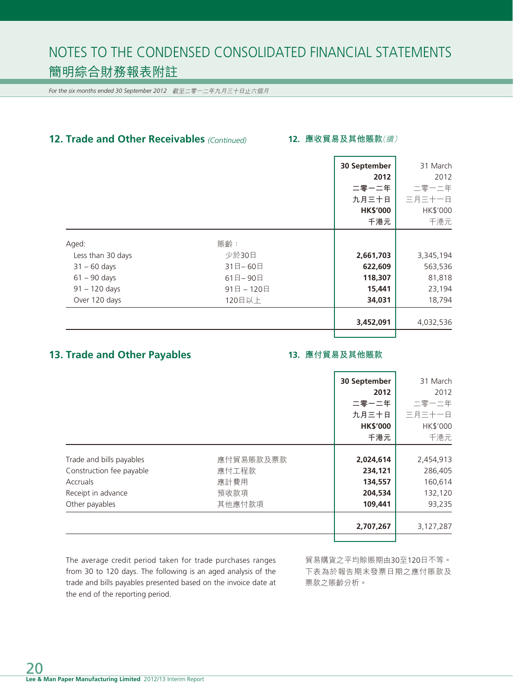*For the six months ended 30 September 2012* 截至二零一二年九月三十日止六個月

# **12. Trade and Other Receivables** *(Continued)*

#### **12. 應收貿易及其他賬款**(續)

|                   |          | 30 September    | 31 March  |
|-------------------|----------|-----------------|-----------|
|                   |          | 2012            | 2012      |
|                   |          | 二零一二年           | 二零一二年     |
|                   |          | 九月三十日           | 三月三十一日    |
|                   |          | <b>HK\$'000</b> | HK\$'000  |
|                   |          | 千港元             | 千港元       |
| Aged:             | 賬齡:      |                 |           |
| Less than 30 days | 少於30日    | 2,661,703       | 3,345,194 |
| $31 - 60$ days    | 31日-60日  | 622,609         | 563,536   |
| $61 - 90$ days    | 61日-90日  | 118,307         | 81,818    |
| $91 - 120$ days   | 91日-120日 | 15,441          | 23,194    |
| Over 120 days     | 120日以上   | 34,031          | 18,794    |
|                   |          | 3,452,091       | 4,032,536 |
|                   |          |                 |           |

# **13. Trade and Other Payables**

#### **13. 應付貿易及其他賬款**

|                                       | 30 September    | 31 March  |
|---------------------------------------|-----------------|-----------|
|                                       | 2012            | 2012      |
|                                       | 二零一二年           | 二零一二年     |
|                                       | 九月三十日           | 三月三十一日    |
|                                       | <b>HK\$'000</b> | HK\$'000  |
|                                       | 千港元             | 千港元       |
|                                       |                 |           |
| 應付貿易賬款及票款<br>Trade and bills payables | 2,024,614       | 2,454,913 |
| Construction fee payable<br>應付工程款     | 234,121         | 286,405   |
| 應計費用<br>Accruals                      | 134,557         | 160,614   |
| 預收款項<br>Receipt in advance            | 204,534         | 132,120   |
| 其他應付款項<br>Other payables              | 109,441         | 93,235    |
|                                       |                 |           |
|                                       | 2,707,267       | 3,127,287 |

The average credit period taken for trade purchases ranges from 30 to 120 days. The following is an aged analysis of the trade and bills payables presented based on the invoice date at the end of the reporting period.

貿易購貨之平均賒賬期由30至120日不等。 下表為於報告期末發票日期之應付賬款及 票款之賬齡分析。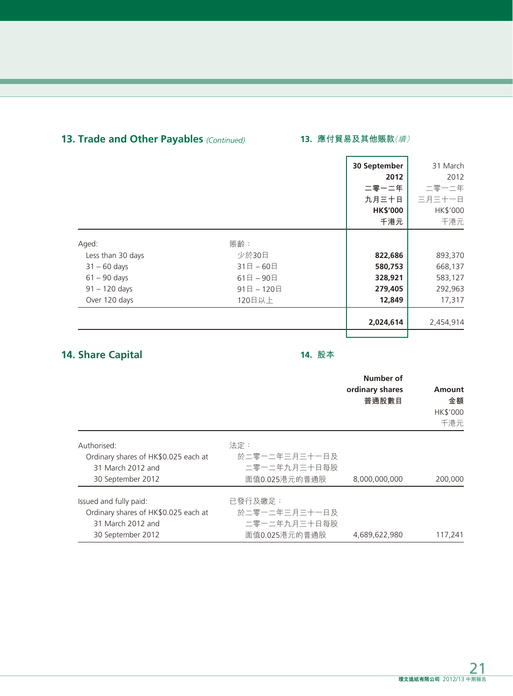## **13. Trade and Other Payables** *(Continued)* **13. 應付貿易及其他賬款**(續)

|                   |              | 30 September    | 31 March  |
|-------------------|--------------|-----------------|-----------|
|                   |              | 2012            | 2012      |
|                   |              | 二零一二年           | 二零一二年     |
|                   |              | 九月三十日           | 三月三十一日    |
|                   |              | <b>HK\$'000</b> | HK\$'000  |
|                   |              | 千港元             | 千港元       |
| Aged:             | 賬齡:          |                 |           |
| Less than 30 days | 少於30日        | 822,686         | 893,370   |
| $31 - 60$ days    | $31$ 日 - 60日 | 580,753         | 668,137   |
| $61 - 90$ days    | 61日-90日      | 328,921         | 583,127   |
| $91 - 120$ days   | 91日-120日     | 279,405         | 292,963   |
| Over 120 days     | 120日以上       | 12,849          | 17,317    |
|                   |              | 2,024,614       | 2,454,914 |
|                   |              |                 |           |

# **14. Share Capital**

# **14. 股本**

|                                      |               | Number of<br>ordinary shares<br>普通股數目 | Amount<br>金額<br><b>HK\$'000</b><br>千港元 |
|--------------------------------------|---------------|---------------------------------------|----------------------------------------|
| Authorised:                          | 法定:           |                                       |                                        |
| Ordinary shares of HK\$0.025 each at | 於二零一二年三月三十一日及 |                                       |                                        |
| 31 March 2012 and                    | 二零一二年九月三十日每股  |                                       |                                        |
| 30 September 2012                    | 面值0.025港元的普通股 | 8,000,000,000                         | 200,000                                |
| Issued and fully paid:               | 已發行及繳足:       |                                       |                                        |
| Ordinary shares of HK\$0.025 each at | 於二零一二年三月三十一日及 |                                       |                                        |
| 31 March 2012 and                    | 二零一二年九月三十日每股  |                                       |                                        |
| 30 September 2012                    | 面值0.025港元的普通股 | 4,689,622,980                         | 117,241                                |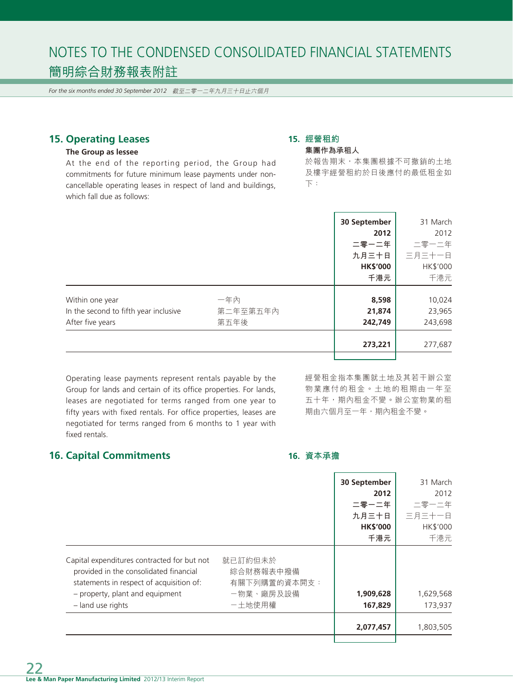*For the six months ended 30 September 2012* 截至二零一二年九月三十日止六個月

# **15. Operating Leases**

#### **The Group as lessee**

At the end of the reporting period, the Group had commitments for future minimum lease payments under noncancellable operating leases in respect of land and buildings, which fall due as follows:

#### **15. 經營租約 集團作為承租人**

於報告期末,本集團根據不可撤銷的土地 及樓宇經營租約於日後應付的最低租金如 下:

|                                       |          | 30 September    | 31 March |
|---------------------------------------|----------|-----------------|----------|
|                                       |          | 2012            | 2012     |
|                                       |          | 二零一二年           | 二零一二年    |
|                                       |          | 九月三十日           | 三月三十一日   |
|                                       |          | <b>HK\$'000</b> | HK\$'000 |
|                                       |          | 千港元             | 千港元      |
|                                       |          |                 |          |
| Within one year                       | 一年內      | 8,598           | 10,024   |
| In the second to fifth year inclusive | 第二年至第五年內 | 21,874          | 23,965   |
| After five years                      | 第五年後     | 242,749         | 243,698  |
|                                       |          | 273,221         | 277,687  |
|                                       |          |                 |          |

Operating lease payments represent rentals payable by the Group for lands and certain of its office properties. For lands, leases are negotiated for terms ranged from one year to fifty years with fixed rentals. For office properties, leases are negotiated for terms ranged from 6 months to 1 year with fixed rentals.

經營租金指本集團就土地及其若干辦公室 物業應付的租金。土地的租期由一年至 五十年,期內租金不變。辦公室物業的租 期由六個月至一年,期內租金不變。

# **16. Capital Commitments**

#### **16. 資本承擔**

|                                                                                                                                   |                                      | 30 September    | 31 March  |
|-----------------------------------------------------------------------------------------------------------------------------------|--------------------------------------|-----------------|-----------|
|                                                                                                                                   |                                      | 2012            | 2012      |
|                                                                                                                                   |                                      | 二零一二年           | 二零一二年     |
|                                                                                                                                   |                                      | 九月三十日           | 三月三十一日    |
|                                                                                                                                   |                                      | <b>HK\$'000</b> | HK\$'000  |
|                                                                                                                                   |                                      | 千港元             | 千港元       |
| Capital expenditures contracted for but not<br>provided in the consolidated financial<br>statements in respect of acquisition of: | 就已訂約但未於<br>綜合財務報表中撥備<br>有關下列購置的資本開支: |                 |           |
| - property, plant and equipment                                                                                                   | -物業、廠房及設備                            | 1,909,628       | 1,629,568 |
| - land use rights                                                                                                                 | 一土地使用權                               | 167,829         | 173,937   |
|                                                                                                                                   |                                      | 2,077,457       | 1,803,505 |
|                                                                                                                                   |                                      |                 |           |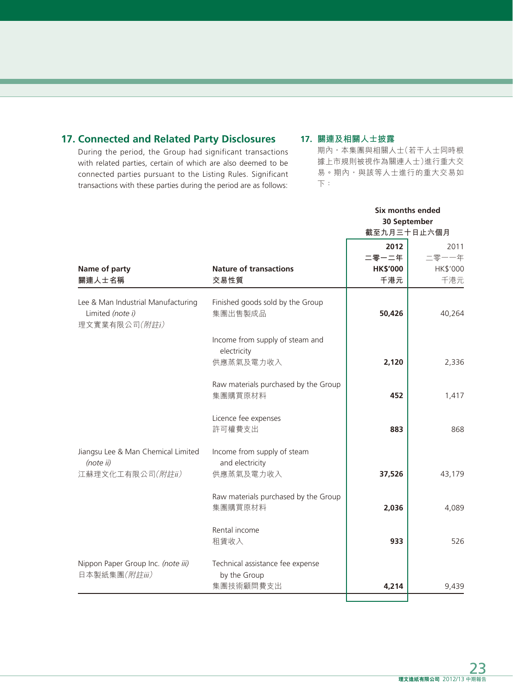# **17. Connected and Related Party Disclosures**

During the period, the Group had significant transactions with related parties, certain of which are also deemed to be connected parties pursuant to the Listing Rules. Significant transactions with these parties during the period are as follows:

### **17. 關連及相關人士披露**

期內,本集團與相關人士(若干人士同時根 據上市規則被視作為關連人士)進行重大交 易。期內,與該等人士進行的重大交易如 下:

|                                                                         |                                                 |                 | Six months ended |
|-------------------------------------------------------------------------|-------------------------------------------------|-----------------|------------------|
|                                                                         |                                                 |                 | 30 September     |
|                                                                         |                                                 |                 | 截至九月三十日止六個月      |
|                                                                         |                                                 | 2012            | 2011             |
|                                                                         |                                                 | 二零一二年           | 二零一一年            |
| Name of party                                                           | <b>Nature of transactions</b>                   | <b>HK\$'000</b> | HK\$'000         |
| 關連人士名稱                                                                  | 交易性質                                            | 千港元             | 千港元              |
| Lee & Man Industrial Manufacturing<br>Limited (note i)<br>理文實業有限公司(附註i) | Finished goods sold by the Group<br>集團出售製成品     | 50,426          | 40,264           |
|                                                                         | Income from supply of steam and<br>electricity  |                 |                  |
|                                                                         | 供應蒸氣及電力收入                                       | 2,120           | 2,336            |
|                                                                         | Raw materials purchased by the Group<br>集團購買原材料 | 452             | 1,417            |
|                                                                         | Licence fee expenses<br>許可權費支出                  | 883             | 868              |
| Jiangsu Lee & Man Chemical Limited<br>(note ii)                         | Income from supply of steam<br>and electricity  |                 |                  |
| 江蘇理文化工有限公司(附註ii)                                                        | 供應蒸氣及電力收入                                       | 37,526          | 43,179           |
|                                                                         | Raw materials purchased by the Group<br>集團購買原材料 | 2,036           | 4,089            |
|                                                                         | Rental income<br>租賃收入                           | 933             | 526              |
| Nippon Paper Group Inc. (note iii)                                      | Technical assistance fee expense                |                 |                  |
| 日本製紙集團(附註iii)                                                           | by the Group<br>集團技術顧問費支出                       | 4,214           | 9,439            |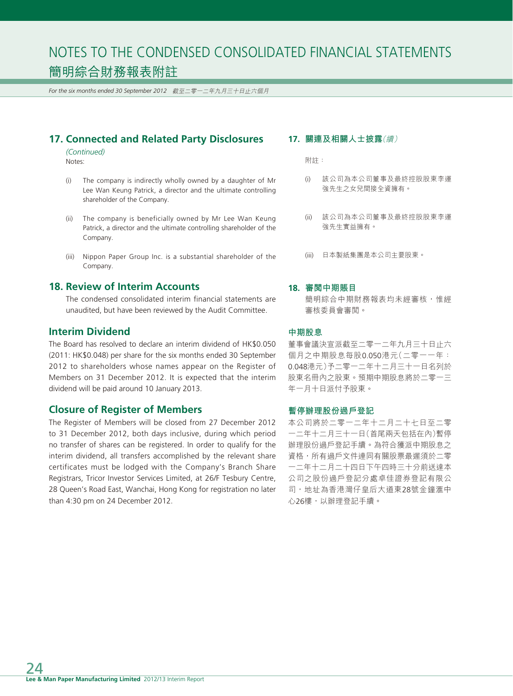*For the six months ended 30 September 2012* 截至二零一二年九月三十日止六個月

## **17. Connected and Related Party Disclosures**

*(Continued)* Notes:

- (i) The company is indirectly wholly owned by a daughter of Mr Lee Wan Keung Patrick, a director and the ultimate controlling shareholder of the Company.
- (ii) The company is beneficially owned by Mr Lee Wan Keung Patrick, a director and the ultimate controlling shareholder of the Company.
- (iii) Nippon Paper Group Inc. is a substantial shareholder of the Company.

### **18. Review of Interim Accounts**

The condensed consolidated interim financial statements are unaudited, but have been reviewed by the Audit Committee.

#### **Interim Dividend**

The Board has resolved to declare an interim dividend of HK\$0.050 (2011: HK\$0.048) per share for the six months ended 30 September 2012 to shareholders whose names appear on the Register of Members on 31 December 2012. It is expected that the interim dividend will be paid around 10 January 2013.

### **Closure of Register of Members**

The Register of Members will be closed from 27 December 2012 to 31 December 2012, both days inclusive, during which period no transfer of shares can be registered. In order to qualify for the interim dividend, all transfers accomplished by the relevant share certificates must be lodged with the Company's Branch Share Registrars, Tricor Investor Services Limited, at 26/F Tesbury Centre, 28 Queen's Road East, Wanchai, Hong Kong for registration no later than 4:30 pm on 24 December 2012.

#### **17. 關連及相關人士披露**(續)

附註:

- (i) 該公司為本公司董事及最終控股股東李運 強先生之女兒間接全資擁有。
- (ii) 該公司為本公司董事及最終控股股東李運 強先生實益擁有。
- (iii) 日本製紙集團是本公司主要股東。

#### **18. 審閱中期賬目**

簡明綜合中期財務報表均未經審核,惟經 審核委員會審閱。

#### **中期股息**

董事會議決宣派截至二零一二年九月三十日止六 個月之中期股息每股0.050港元(二零一一年: 0.048港元)予二零一二年十二月三十一日名列於 股東名冊內之股東。預期中期股息將於二零一三 年一月十日派付予股東。

#### **暫停辦理股份過戶登記**

本公司將於二零一二年十二月二十七日至二零 一二年十二月三十一日(首尾兩天包括在內)暫停 辦理股份過戶登記手續。為符合獲派中期股息之 資格,所有過戶文件連同有關股票最遲須於二零 一二年十二月二十四日下午四時三十分前送達本 公司之股份過戶登記分處卓佳證券登記有限公 司,地址為香港灣仔皇后大道東28號金鐘滙中 心26樓,以辦理登記手續。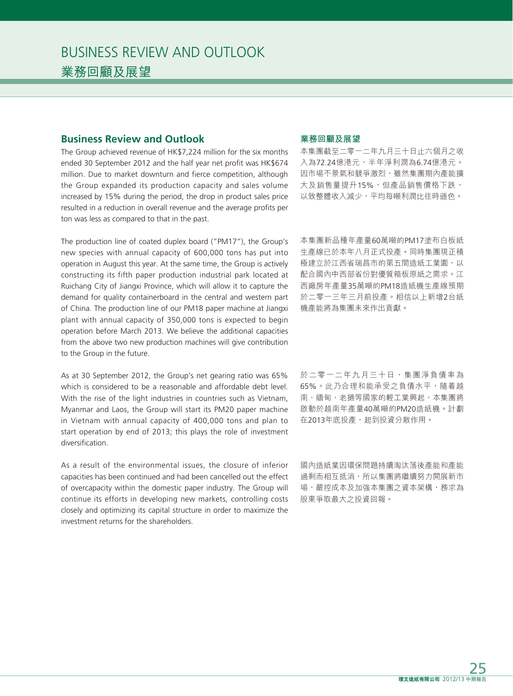### **Business Review and Outlook**

The Group achieved revenue of HK\$7,224 million for the six months ended 30 September 2012 and the half year net profit was HK\$674 million. Due to market downturn and fierce competition, although the Group expanded its production capacity and sales volume increased by 15% during the period, the drop in product sales price resulted in a reduction in overall revenue and the average profits per ton was less as compared to that in the past.

The production line of coated duplex board ("PM17"), the Group's new species with annual capacity of 600,000 tons has put into operation in August this year. At the same time, the Group is actively constructing its fifth paper production industrial park located at Ruichang City of Jiangxi Province, which will allow it to capture the demand for quality containerboard in the central and western part of China. The production line of our PM18 paper machine at Jiangxi plant with annual capacity of 350,000 tons is expected to begin operation before March 2013. We believe the additional capacities from the above two new production machines will give contribution to the Group in the future.

As at 30 September 2012, the Group's net gearing ratio was 65% which is considered to be a reasonable and affordable debt level. With the rise of the light industries in countries such as Vietnam, Myanmar and Laos, the Group will start its PM20 paper machine in Vietnam with annual capacity of 400,000 tons and plan to start operation by end of 2013; this plays the role of investment diversification.

As a result of the environmental issues, the closure of inferior capacities has been continued and had been cancelled out the effect of overcapacity within the domestic paper industry. The Group will continue its efforts in developing new markets, controlling costs closely and optimizing its capital structure in order to maximize the investment returns for the shareholders.

#### **業務回顧及展望**

本集團截至二零一二年九月三十日止六個月之收 入為72.24億港元,半年淨利潤為6.74億港元。 因市場不景氣和競爭激烈,雖然集團期內產能擴 大及銷售量提升15%,但產品銷售價格下跌, 以致整體收入減少,平均每噸利潤比往時遜色。

本集團新品種年產量60萬噸的PM17塗布白板紙 生產線已於本年八月正式投產。同時集團現正積 極建立於江西省瑞昌市的第五間造紙工業園,以 配合國內中西部省份對優質箱板原紙之需求。江 西廠房年產量35萬噸的PM18造紙機生產線預期 於二零一三年三月前投產。相信以上新增2台紙 機產能將為集團未來作出貢獻。

於二零一二年九月三十日,集團淨負債率為 65%。此乃合理和能承受之負債水平,隨着越 南、緬甸、老撾等國家的輕工業興起,本集團將 啟動於越南年產量40萬噸的PM20造紙機。計劃 在2013年底投產,起到投資分散作用。

國內造紙業因環保問題持續淘汰落後產能和產能 過剩而相互抵消,所以集團將繼續努力開展新市 場,嚴控成本及加強本集團之資本架構,務求為 股東爭取最大之投資回報。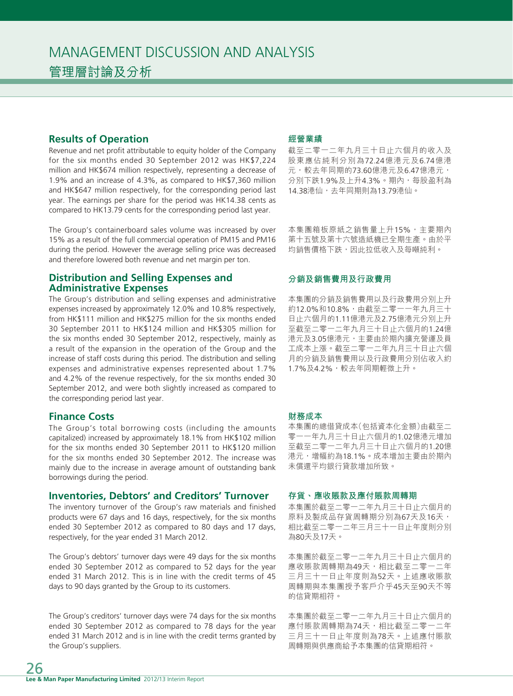#### **Results of Operation**

Revenue and net profit attributable to equity holder of the Company for the six months ended 30 September 2012 was HK\$7,224 million and HK\$674 million respectively, representing a decrease of 1.9% and an increase of 4.3%, as compared to HK\$7,360 million and HK\$647 million respectively, for the corresponding period last year. The earnings per share for the period was HK14.38 cents as compared to HK13.79 cents for the corresponding period last year.

The Group's containerboard sales volume was increased by over 15% as a result of the full commercial operation of PM15 and PM16 during the period. However the average selling price was decreased and therefore lowered both revenue and net margin per ton.

#### **Distribution and Selling Expenses and Administrative Expenses**

The Group's distribution and selling expenses and administrative expenses increased by approximately 12.0% and 10.8% respectively, from HK\$111 million and HK\$275 million for the six months ended 30 September 2011 to HK\$124 million and HK\$305 million for the six months ended 30 September 2012, respectively, mainly as a result of the expansion in the operation of the Group and the increase of staff costs during this period. The distribution and selling expenses and administrative expenses represented about 1.7% and 4.2% of the revenue respectively, for the six months ended 30 September 2012, and were both slightly increased as compared to the corresponding period last year.

#### **Finance Costs**

The Group's total borrowing costs (including the amounts capitalized) increased by approximately 18.1% from HK\$102 million for the six months ended 30 September 2011 to HK\$120 million for the six months ended 30 September 2012. The increase was mainly due to the increase in average amount of outstanding bank borrowings during the period.

#### **Inventories, Debtors' and Creditors' Turnover**

The inventory turnover of the Group's raw materials and finished products were 67 days and 16 days, respectively, for the six months ended 30 September 2012 as compared to 80 days and 17 days, respectively, for the year ended 31 March 2012.

The Group's debtors' turnover days were 49 days for the six months ended 30 September 2012 as compared to 52 days for the year ended 31 March 2012. This is in line with the credit terms of 45 days to 90 days granted by the Group to its customers.

The Group's creditors' turnover days were 74 days for the six months ended 30 September 2012 as compared to 78 days for the year ended 31 March 2012 and is in line with the credit terms granted by the Group's suppliers.

#### **經營業績**

截至二零一二年九月三十日止六個月的收入及 股東應佔純利分別為72.24億港元及6.74億港 元,較去年同期的73.60億港元及6.47億港元, 分別下跌1.9%及上升4.3%。期內,每股盈利為 14.38港仙,去年同期則為13.79港仙。

本集團箱板原紙之銷售量上升15%,主要期內 第十五號及第十六號造紙機已全期生產。由於平 均銷售價格下跌,因此拉低收入及每噸純利。

#### **分銷及銷售費用及行政費用**

本集團的分銷及銷售費用以及行政費用分別上升 約12.0%和10.8%,由截至二零一一年九月三十 日止六個月的1.11億港元及2.75億港元分別上升 至截至二零一二年九月三十日止六個月的1.24億 港元及3.05億港元,主要由於期內擴充營運及員 工成本上漲。截至二零一二年九月三十日止六個 月的分銷及銷售費用以及行政費用分別佔收入約 1.7%及4.2%,較去年同期輕微上升。

#### **財務成本**

本集團的總借貸成本(包括資本化金額)由截至二 零一一年九月三十日止六個月的1.02億港元增加 至截至二零一二年九月三十日止六個月的1.20億 港元,增幅約為18.1%。成本增加主要由於期內 未償還平均銀行貸款增加所致。

#### **存貨、應收賬款及應付賬款周轉期**

本集團於截至二零一二年九月三十日止六個月的 原料及製成品存貨周轉期分別為67天及16天, 相比截至二零一二年三月三十一日止年度則分別 為80天及17天。

本集團於截至二零一二年九月三十日止六個月的 應收賬款周轉期為49天,相比截至二零一二年 三月三十一日止年度則為52天。上述應收賬款 周轉期與本集團授予客戶介乎45天至90天不等 的信貸期相符。

本集團於截至二零一二年九月三十日止六個月的 應付賬款周轉期為74天,相比截至二零一二年 三月三十一日止年度則為78天。上述應付賬款 周轉期與供應商給予本集團的信貸期相符。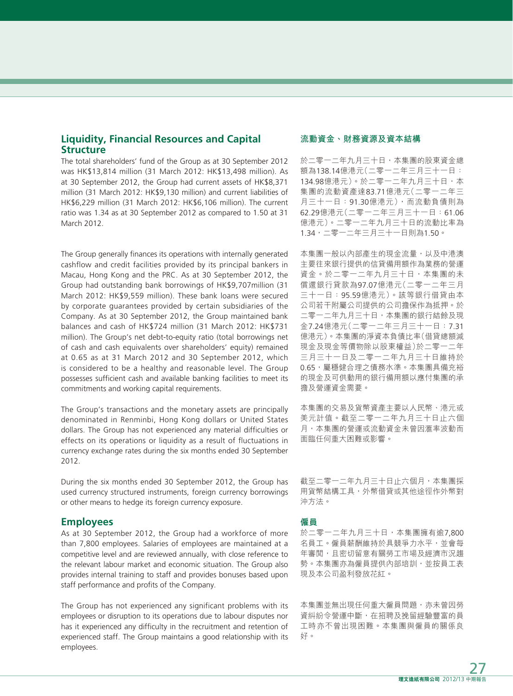### **Liquidity, Financial Resources and Capital Structure**

The total shareholders' fund of the Group as at 30 September 2012 was HK\$13,814 million (31 March 2012: HK\$13,498 million). As at 30 September 2012, the Group had current assets of HK\$8,371 million (31 March 2012: HK\$9,130 million) and current liabilities of HK\$6,229 million (31 March 2012: HK\$6,106 million). The current ratio was 1.34 as at 30 September 2012 as compared to 1.50 at 31 March 2012.

The Group generally finances its operations with internally generated cashflow and credit facilities provided by its principal bankers in Macau, Hong Kong and the PRC. As at 30 September 2012, the Group had outstanding bank borrowings of HK\$9,707million (31 March 2012: HK\$9,559 million). These bank loans were secured by corporate guarantees provided by certain subsidiaries of the Company. As at 30 September 2012, the Group maintained bank balances and cash of HK\$724 million (31 March 2012: HK\$731 million). The Group's net debt-to-equity ratio (total borrowings net of cash and cash equivalents over shareholders' equity) remained at 0.65 as at 31 March 2012 and 30 September 2012, which is considered to be a healthy and reasonable level. The Group possesses sufficient cash and available banking facilities to meet its commitments and working capital requirements.

The Group's transactions and the monetary assets are principally denominated in Renminbi, Hong Kong dollars or United States dollars. The Group has not experienced any material difficulties or effects on its operations or liquidity as a result of fluctuations in currency exchange rates during the six months ended 30 September 2012.

During the six months ended 30 September 2012, the Group has used currency structured instruments, foreign currency borrowings or other means to hedge its foreign currency exposure.

#### **Employees**

As at 30 September 2012, the Group had a workforce of more than 7,800 employees. Salaries of employees are maintained at a competitive level and are reviewed annually, with close reference to the relevant labour market and economic situation. The Group also provides internal training to staff and provides bonuses based upon staff performance and profits of the Company.

The Group has not experienced any significant problems with its employees or disruption to its operations due to labour disputes nor has it experienced any difficulty in the recruitment and retention of experienced staff. The Group maintains a good relationship with its employees.

#### **流動資金、財務資源及資本結構**

於二零一二年九月三十日,本集團的股東資金總 額為138.14億港元(二零一二年三月三十一日: 134.98億港元)。於二零一二年九月三十日,本 集團的流動資產達83.71億港元(二零一二年三 月三十一日:91.30億港元),而流動負債則為 62.29億港元(二零一二年三月三十一日:61.06 億港元)。二零一二年九月三十日的流動比率為 1.34,二零一二年三月三十一日則為1.50。

本集團一般以內部產生的現金流量,以及中港澳 主要往來銀行提供的信貸備用額作為業務的營運 資金。於二零一二年九月三十日,本集團的未 償還銀行貸款為97.07億港元(二零一二年三月 三十一日:95.59億港元)。該等銀行借貸由本 公司若干附屬公司提供的公司擔保作為抵押。於 二零一二年九月三十日,本集團的銀行結餘及現 金7.24億港元(二零一二年三月三十一日:7.31 億港元)。本集團的淨資本負債比率(借貸總額減 現金及現金等價物除以股東權益)於二零一二年 三月三十一日及二零一二年九月三十日維持於 0.65,屬穩健合理之債務水準。本集團具備充裕 的現金及可供動用的銀行備用額以應付集團的承 擔及營運資金需要。

本集團的交易及貨幣資產主要以人民幣、港元或 美元計值。截至二零一二年九月三十日止六個 月,本集團的營運或流動資金未曾因滙率波動而 面臨任何重大困難或影響。

截至二零一二年九月三十日止六個月,本集團採 用貨幣結構工具,外幣借貸或其他途徑作外幣對 沖方法。

#### **僱員**

於二零一二年九月三十日,本集團擁有逾7,800 名員工。僱員薪酬維持於具競爭力水平,並會每 年審閲,且密切留意有關勞工市場及經濟市況趨 勢。本集團亦為僱員提供內部培訓,並按員工表 現及本公司盈利發放花紅。

本集團並無出現任何重大僱員問題,亦未曾因勞 資糾紛令營運中斷,在招聘及挽留經驗豐富的員 工時亦不曾出現困難。本集團與僱員的關係良 好。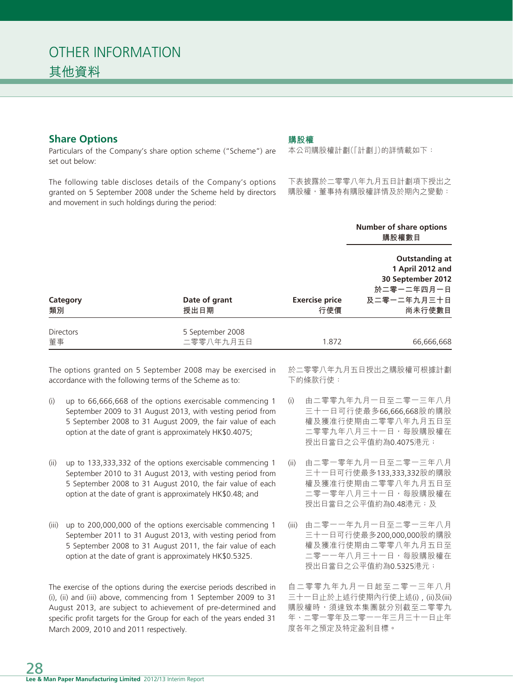## **Share Options**

Particulars of the Company's share option scheme ("Scheme") are set out below:

The following table discloses details of the Company's options granted on 5 September 2008 under the Scheme held by directors and movement in such holdings during the period:

#### **購股權**

本公司購股權計劃(「計劃」)的詳情載如下:

下表披露於二零零八年九月五日計劃項下授出之 購股權,董事持有購股權詳情及於期內之變動:

|                  |                       |                              | Number of share options<br>購股權數目                                                               |
|------------------|-----------------------|------------------------------|------------------------------------------------------------------------------------------------|
| Category<br>類別   | Date of grant<br>授出日期 | <b>Exercise price</b><br>行使價 | Outstanding at<br>1 April 2012 and<br>30 September 2012<br>於二零一二年四月一日<br>及二零一二年九月三十日<br>尚未行使數目 |
| <b>Directors</b> | 5 September 2008      |                              |                                                                                                |
| 董事               | 二零零八年九月五日             | 1.872                        | 66,666,668                                                                                     |

The options granted on 5 September 2008 may be exercised in accordance with the following terms of the Scheme as to:

- (i) up to 66,666,668 of the options exercisable commencing 1 September 2009 to 31 August 2013, with vesting period from 5 September 2008 to 31 August 2009, the fair value of each option at the date of grant is approximately HK\$0.4075;
- (ii) up to 133,333,332 of the options exercisable commencing 1 September 2010 to 31 August 2013, with vesting period from 5 September 2008 to 31 August 2010, the fair value of each option at the date of grant is approximately HK\$0.48; and
- (iii) up to 200,000,000 of the options exercisable commencing 1 September 2011 to 31 August 2013, with vesting period from 5 September 2008 to 31 August 2011, the fair value of each option at the date of grant is approximately HK\$0.5325.

The exercise of the options during the exercise periods described in (i), (ii) and (iii) above, commencing from 1 September 2009 to 31 August 2013, are subject to achievement of pre-determined and specific profit targets for the Group for each of the years ended 31 March 2009, 2010 and 2011 respectively.

於二零零八年九月五日授出之購股權可根據計劃 下的條款行使:

- (i) 由二零零九年九月一日至二零一三年八月 三十一日可行使最多66,666,668股的購股 權及獲准行使期由二零零八年九月五日至 二零零九年八月三十一日,每股購股權在 授出日當日之公平值約為0.4075港元;
- (ii) 由二零一零年九月一日至二零一三年八月 三十一日可行使最多133,333,332股的購股 權及獲准行使期由二零零八年九月五日至 二零一零年八月三十一日,每股購股權在 授出日當日之公平值約為0.48港元;及
- (iii) 由二零一一年九月一日至二零一三年八月 三十一日可行使最多200,000,000股的購股 權及獲准行使期由二零零八年九月五日至 二零一一年八月三十一日,每股購股權在 授出日當日之公平值約為0.5325港元;

自二零零九年九月一日起至二零一三年八月 三十一日止於上述行使期內行使上述(i) , (ii)及(iii) 購股權時,須達致本集團就分別截至二零零九 年、二零一零年及二零一一年三月三十一日止年 度各年之預定及特定盈利目標。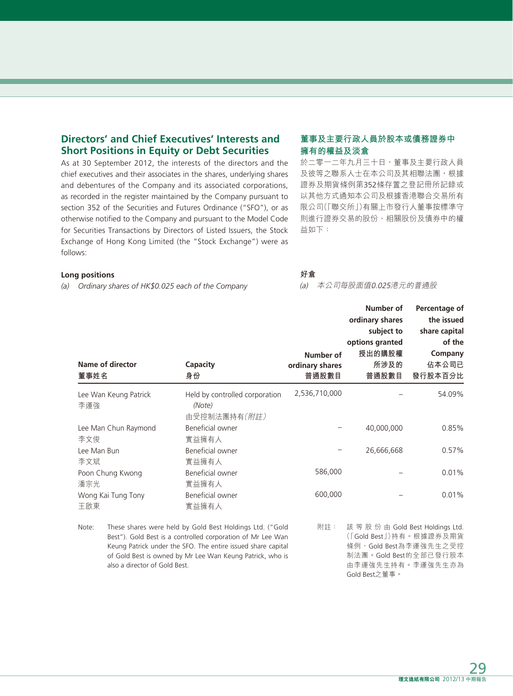# **Directors' and Chief Executives' Interests and Short Positions in Equity or Debt Securities**

As at 30 September 2012, the interests of the directors and the chief executives and their associates in the shares, underlying shares and debentures of the Company and its associated corporations, as recorded in the register maintained by the Company pursuant to section 352 of the Securities and Futures Ordinance ("SFO"), or as otherwise notified to the Company and pursuant to the Model Code for Securities Transactions by Directors of Listed Issuers, the Stock Exchange of Hong Kong Limited (the "Stock Exchange") were as follows:

#### **董事及主要行政人員於股本或債務證券中 擁有的權益及淡倉** 於二零一二年九月三十日,董事及主要行政人員

及彼等之聯系人士在本公司及其相聯法團,根據 證券及期貨條例第352條存置之登記冊所記錄或 以其他方式通知本公司及根據香港聯合交易所有 限公司(「聯交所」)有關上市發行人董事按標準守 則進行證券交易的股份、相關股份及債券中的權 益如下:

#### **Long positions**

*(a) Ordinary shares of HK\$0.025 each of the Company*

#### **好倉**

(a) 本公司每股面值0.025港元的普通股

Gold Best之董事。

| 董事姓名                        | <b>Name of director</b>       | Capacity<br>身份                                                                                                                                                                                                                                       | Number of<br>ordinary shares<br>普通股數目 | Number of<br>ordinary shares<br>subject to<br>options granted<br>授出的購股權<br>所涉及的<br>普通股數目                                           | Percentage of<br>the issued<br>share capital<br>of the<br>Company<br>佔本公司已<br>發行股本百分比 |
|-----------------------------|-------------------------------|------------------------------------------------------------------------------------------------------------------------------------------------------------------------------------------------------------------------------------------------------|---------------------------------------|------------------------------------------------------------------------------------------------------------------------------------|---------------------------------------------------------------------------------------|
| 李運強                         | Lee Wan Keung Patrick         | Held by controlled corporation<br>(Note)<br>由受控制法團持有(附註)                                                                                                                                                                                             | 2,536,710,000                         |                                                                                                                                    | 54.09%                                                                                |
| Lee Man Chun Raymond<br>李文俊 |                               | Beneficial owner<br>實益擁有人                                                                                                                                                                                                                            |                                       | 40.000.000                                                                                                                         | 0.85%                                                                                 |
| Lee Man Bun<br>李文斌          |                               | Beneficial owner<br>實益擁有人                                                                                                                                                                                                                            |                                       | 26,666,668                                                                                                                         | 0.57%                                                                                 |
| Poon Chung Kwong<br>潘宗光     |                               | Beneficial owner<br>實益擁有人                                                                                                                                                                                                                            | 586,000                               |                                                                                                                                    | 0.01%                                                                                 |
| 王啟東                         | Wong Kai Tung Tony            | Beneficial owner<br>實益擁有人                                                                                                                                                                                                                            | 600,000                               |                                                                                                                                    | 0.01%                                                                                 |
| Note:                       | also a director of Gold Best. | These shares were held by Gold Best Holdings Ltd. ("Gold<br>Best"). Gold Best is a controlled corporation of Mr Lee Wan<br>Keung Patrick under the SFO. The entire issued share capital<br>of Gold Best is owned by Mr Lee Wan Keung Patrick, who is | 附註:                                   | 該 等 股 份 由 Gold Best Holdings Ltd.<br>(「Gold Best」)持有。根據證券及期貨<br>條例,Gold Best為李運強先生之受控<br>制法團。Gold Best的全部已發行股本<br>由李運強先生持有。李運強先生亦為 |                                                                                       |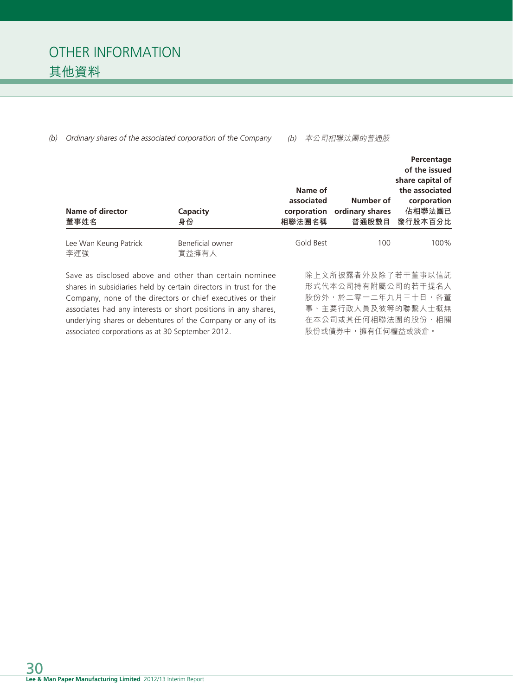| Name of director<br>董事姓名                                                                                                                                                                                                                                                                                                     | Capacity<br>身份                                                                                             | Name of<br>associated<br>corporation<br>相聯法團名稱 | Number of<br>ordinary shares<br>普通股數目 | Percentage<br>of the issued<br>share capital of<br>the associated<br>corporation<br>佔相聯法團已<br>發行股本百分比 |
|------------------------------------------------------------------------------------------------------------------------------------------------------------------------------------------------------------------------------------------------------------------------------------------------------------------------------|------------------------------------------------------------------------------------------------------------|------------------------------------------------|---------------------------------------|-------------------------------------------------------------------------------------------------------|
| Lee Wan Keung Patrick<br>李運強                                                                                                                                                                                                                                                                                                 | Beneficial owner<br>實益擁有人                                                                                  | Gold Best                                      | 100                                   | 100%                                                                                                  |
| Save as disclosed above and other than certain nominee<br>shares in subsidiaries held by certain directors in trust for the<br>Company, none of the directors or chief executives or their<br>associates had any interests or short positions in any shares,<br>underlying shares or debentures of the Company or any of its | 除上文所披露者外及除了若干董事以信託<br>形式代本公司持有附屬公司的若干提名人<br>股份外,於二零一二年九月三十日,各董<br>事、主要行政人員及彼等的聯繫人士概無<br>在本公司或其任何相聯法團的股份、相關 |                                                |                                       |                                                                                                       |

*(b) Ordinary shares of the associated corporation of the Company*

associated corporations as at 30 September 2012.

(b) 本公司相聯法團的普通股

股份或債券中,擁有任何權益或淡倉。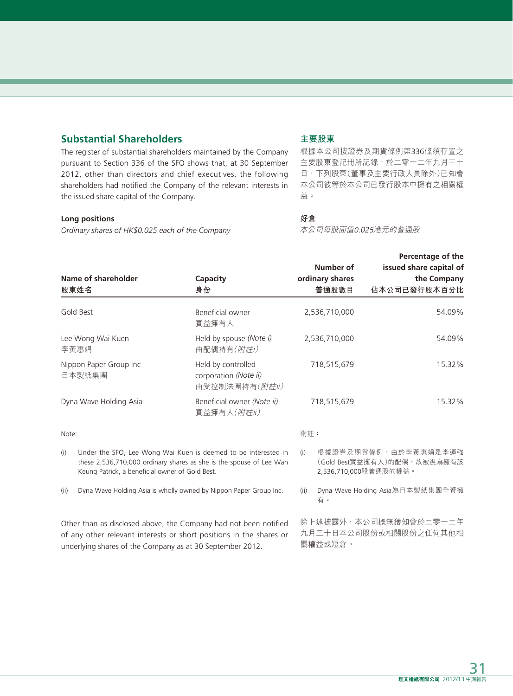# **Substantial Shareholders**

The register of substantial shareholders maintained by the Company pursuant to Section 336 of the SFO shows that, at 30 September 2012, other than directors and chief executives, the following shareholders had notified the Company of the relevant interests in the issued share capital of the Company.

#### **Long positions**

*Ordinary shares of HK\$0.025 each of the Company*

### **主要股東**

根據本公司按證券及期貨條例第336條須存置之 主要股東登記冊所記錄,於二零一二年九月三十 日,下列股東(董事及主要行政人員除外)已知會 本公司彼等於本公司已發行股本中擁有之相關權 益。

#### **好倉**

本公司每股面值0.025港元的普通股

|                                                                                                                                                                                                      | Name of shareholder<br>股東姓名                                                                                                                                                              | Capacity<br>身份                                                |               | Number of<br>ordinary shares<br>普通股數目                                        | Percentage of the<br>issued share capital of<br>the Company<br>佔本公司已發行股本百分比 |  |
|------------------------------------------------------------------------------------------------------------------------------------------------------------------------------------------------------|------------------------------------------------------------------------------------------------------------------------------------------------------------------------------------------|---------------------------------------------------------------|---------------|------------------------------------------------------------------------------|-----------------------------------------------------------------------------|--|
| Gold Best                                                                                                                                                                                            |                                                                                                                                                                                          | Beneficial owner<br>實益擁有人                                     |               | 2,536,710,000                                                                | 54.09%                                                                      |  |
| Lee Wong Wai Kuen<br>李黃惠娟                                                                                                                                                                            |                                                                                                                                                                                          | Held by spouse (Note i)<br>由配偶持有(附註i)                         | 2,536,710,000 |                                                                              | 54.09%                                                                      |  |
| Nippon Paper Group Inc<br>日本製紙集團                                                                                                                                                                     |                                                                                                                                                                                          | Held by controlled<br>corporation (Note ii)<br>由受控制法團持有(附註ii) | 718,515,679   |                                                                              | 15.32%                                                                      |  |
| Dyna Wave Holding Asia                                                                                                                                                                               |                                                                                                                                                                                          | Beneficial owner (Note ii)<br>實益擁有人(附註ii)                     | 718,515,679   |                                                                              | 15.32%                                                                      |  |
| Note:                                                                                                                                                                                                |                                                                                                                                                                                          |                                                               | 附註:           |                                                                              |                                                                             |  |
| (i)                                                                                                                                                                                                  | Under the SFO, Lee Wong Wai Kuen is deemed to be interested in<br>these 2,536,710,000 ordinary shares as she is the spouse of Lee Wan<br>Keung Patrick, a beneficial owner of Gold Best. |                                                               | (i)           | 根據證券及期貨條例,由於李黃惠娟是李運強<br>(Gold Best實益擁有人)的配偶,故被視為擁有該<br>2,536,710,000股普通股的權益。 |                                                                             |  |
| (ii)                                                                                                                                                                                                 | Dyna Wave Holding Asia is wholly owned by Nippon Paper Group Inc.                                                                                                                        |                                                               | (ii)          | Dyna Wave Holding Asia為日本製紙集團全資擁<br>有。                                       |                                                                             |  |
| Other than as disclosed above, the Company had not been notified<br>of any other relevant interests or short positions in the shares or<br>underlying shares of the Company as at 30 September 2012. |                                                                                                                                                                                          |                                                               |               | 除上述披露外,本公司概無獲知會於二零一二年<br>九月三十日本公司股份或相關股份之任何其他相<br>關權益或短倉。                    |                                                                             |  |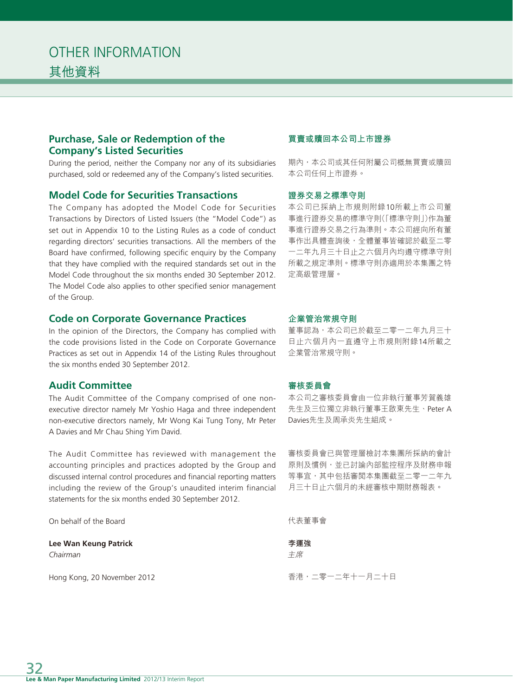# **Purchase, Sale or Redemption of the Company's Listed Securities**

During the period, neither the Company nor any of its subsidiaries purchased, sold or redeemed any of the Company's listed securities.

### **Model Code for Securities Transactions**

The Company has adopted the Model Code for Securities Transactions by Directors of Listed Issuers (the "Model Code") as set out in Appendix 10 to the Listing Rules as a code of conduct regarding directors' securities transactions. All the members of the Board have confirmed, following specific enquiry by the Company that they have complied with the required standards set out in the Model Code throughout the six months ended 30 September 2012. The Model Code also applies to other specified senior management of the Group.

#### **Code on Corporate Governance Practices**

In the opinion of the Directors, the Company has complied with the code provisions listed in the Code on Corporate Governance Practices as set out in Appendix 14 of the Listing Rules throughout the six months ended 30 September 2012.

#### **Audit Committee**

The Audit Committee of the Company comprised of one nonexecutive director namely Mr Yoshio Haga and three independent non-executive directors namely, Mr Wong Kai Tung Tony, Mr Peter A Davies and Mr Chau Shing Yim David.

The Audit Committee has reviewed with management the accounting principles and practices adopted by the Group and discussed internal control procedures and financial reporting matters including the review of the Group's unaudited interim financial statements for the six months ended 30 September 2012.

On behalf of the Board

**Lee Wan Keung Patrick** *Chairman*

Hong Kong, 20 November 2012

#### **買賣或贖回本公司上市證券**

期內,本公司或其任何附屬公司概無買賣或贖回 本公司任何上市證券。

#### **證券交易之標準守則**

本公司已採納上市規則附錄10所載上市公司董 事進行證券交易的標準守則(「標準守則」)作為董 事進行證券交易之行為準則。本公司經向所有董 事作出具體查詢後,全體董事皆確認於截至二零 一二年九月三十日止之六個月內均遵守標準守則 所載之規定準則。標準守則亦適用於本集團之特 定高級管理層。

#### **企業管治常規守則**

董事認為,本公司已於截至二零一二年九月三十 日止六個月內一直遵守上市規則附錄14所載之 企業管治常規守則。

#### **審核委員會**

本公司之審核委員會由一位非執行董事芳賀義雄 先生及三位獨立非執行董事王啟東先生、Peter A Davies先生及周承炎先生組成。

審核委員會已與管理層檢討本集團所採納的會計 原則及慣例,並已討論內部監控程序及財務申報 等事宜,其中包括審閲本集團截至二零一二年九 月三十日止六個月的未經審核中期財務報表。

代表董事會

**李運強** 主席

香港,二零一二年十一月二十日